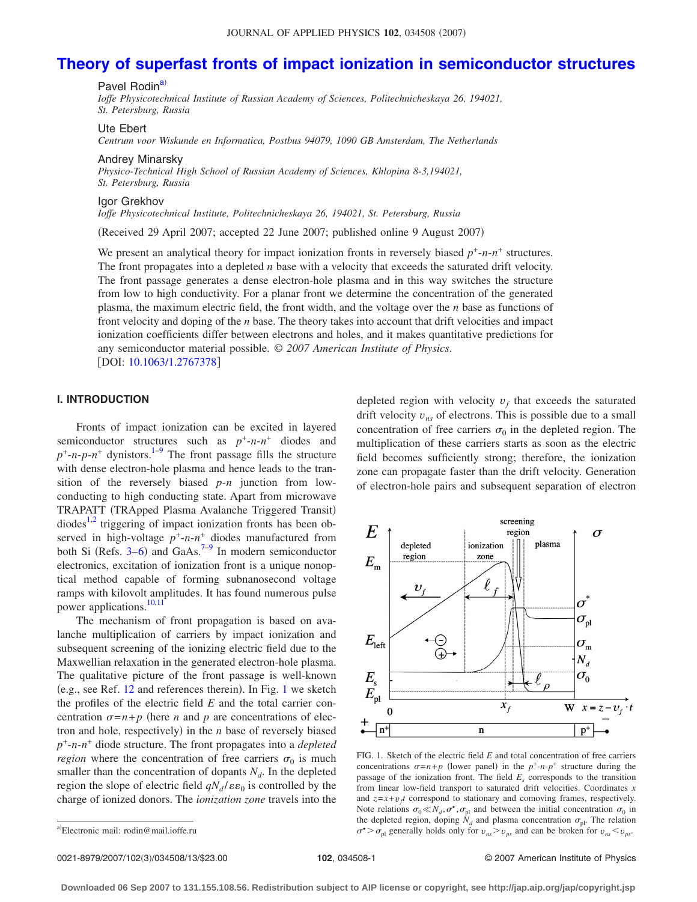# **[Theory of superfast fronts of impact ionization in semiconductor structures](http://dx.doi.org/10.1063/1.2767378)**

Pavel Rodin<sup>a)</sup>

*Ioffe Physicotechnical Institute of Russian Academy of Sciences, Politechnicheskaya 26, 194021, St. Petersburg, Russia*

Ute Ebert

*Centrum voor Wiskunde en Informatica, Postbus 94079, 1090 GB Amsterdam, The Netherlands*

Andrey Minarsky

*Physico-Technical High School of Russian Academy of Sciences, Khlopina 8-3,194021, St. Petersburg, Russia*

Igor Grekhov

*Ioffe Physicotechnical Institute, Politechnicheskaya 26, 194021, St. Petersburg, Russia*

Received 29 April 2007; accepted 22 June 2007; published online 9 August 2007-

We present an analytical theory for impact ionization fronts in reversely biased  $p^+$ - $n$ - $n^+$  structures. The front propagates into a depleted *n* base with a velocity that exceeds the saturated drift velocity. The front passage generates a dense electron-hole plasma and in this way switches the structure from low to high conductivity. For a planar front we determine the concentration of the generated plasma, the maximum electric field, the front width, and the voltage over the *n* base as functions of front velocity and doping of the *n* base. The theory takes into account that drift velocities and impact ionization coefficients differ between electrons and holes, and it makes quantitative predictions for any semiconductor material possible. © *2007 American Institute of Physics*. [DOI: [10.1063/1.2767378](http://dx.doi.org/10.1063/1.2767378)]

## **I. INTRODUCTION**

Fronts of impact ionization can be excited in layered semiconductor structures such as  $p^+$ - $n$ - $n^+$  diodes and  $p^+$ -*n*- $p$ -*n*<sup>+</sup> dynistors.<sup>1–[9](#page-11-1)</sup> The front passage fills the structure with dense electron-hole plasma and hence leads to the transition of the reversely biased *p*-*n* junction from lowconducting to high conducting state. Apart from microwave TRAPATT (TRApped Plasma Avalanche Triggered Transit)  $diodes<sup>1,2</sup>$  $diodes<sup>1,2</sup>$  $diodes<sup>1,2</sup>$  triggering of impact ionization fronts has been observed in high-voltage  $p^+$ -*n*- $n^+$  diodes manufactured from both Si (Refs. [3–](#page-11-3)[6](#page-11-4)) and GaAs.<sup>7–[9](#page-11-1)</sup> In modern semiconductor electronics, excitation of ionization front is a unique nonoptical method capable of forming subnanosecond voltage ramps with kilovolt amplitudes. It has found numerous pulse power applications.<sup>10,[11](#page-11-7)</sup>

The mechanism of front propagation is based on avalanche multiplication of carriers by impact ionization and subsequent screening of the ionizing electric field due to the Maxwellian relaxation in the generated electron-hole plasma. The qualitative picture of the front passage is well-known (e.g., see Ref. [12](#page-11-8) and references therein). In Fig. [1](#page-0-1) we sketch the profiles of the electric field *E* and the total carrier concentration  $\sigma = n + p$  (here *n* and *p* are concentrations of electron and hole, respectively) in the *n* base of reversely biased *p*+-*n*-*n*<sup>+</sup> diode structure. The front propagates into a *depleted region* where the concentration of free carriers  $\sigma_0$  is much smaller than the concentration of dopants  $N_d$ . In the depleted region the slope of electric field  $qN_d / \varepsilon \varepsilon_0$  is controlled by the charge of ionized donors. The *ionization zone* travels into the depleted region with velocity  $v_f$  that exceeds the saturated drift velocity  $v_{ns}$  of electrons. This is possible due to a small concentration of free carriers  $\sigma_0$  in the depleted region. The multiplication of these carriers starts as soon as the electric field becomes sufficiently strong; therefore, the ionization zone can propagate faster than the drift velocity. Generation of electron-hole pairs and subsequent separation of electron

<span id="page-0-1"></span>

FIG. 1. Sketch of the electric field *E* and total concentration of free carriers concentrations  $\sigma = n + p$  (lower panel) in the  $p^+$ -*n*- $p^+$  structure during the passage of the ionization front. The field  $E<sub>s</sub>$  corresponds to the transition from linear low-field transport to saturated drift velocities. Coordinates *x* and  $z=x+v<sub>f</sub>t$  correspond to stationary and comoving frames, respectively. Note relations  $\sigma_0 \ll N_d$ ,  $\sigma^*$ ,  $\sigma_{\text{pl}}$  and between the initial concentration  $\sigma_0$  in the depleted region, doping  $\dot{N}_d$  and plasma concentration  $\sigma_{\text{pl}}$ . The relation  $\sigma^*$   $\rightarrow$   $\sigma_{\text{pl}}$  generally holds only for  $v_{ns}$   $\rightarrow$   $v_{ps}$  and can be broken for  $v_{ns}$   $\lt$   $v_{ps}$ .

0021-8979/2007/102(3)/034508/13/\$23.00

<span id="page-0-0"></span>a)Electronic mail: rodin@mail.ioffe.ru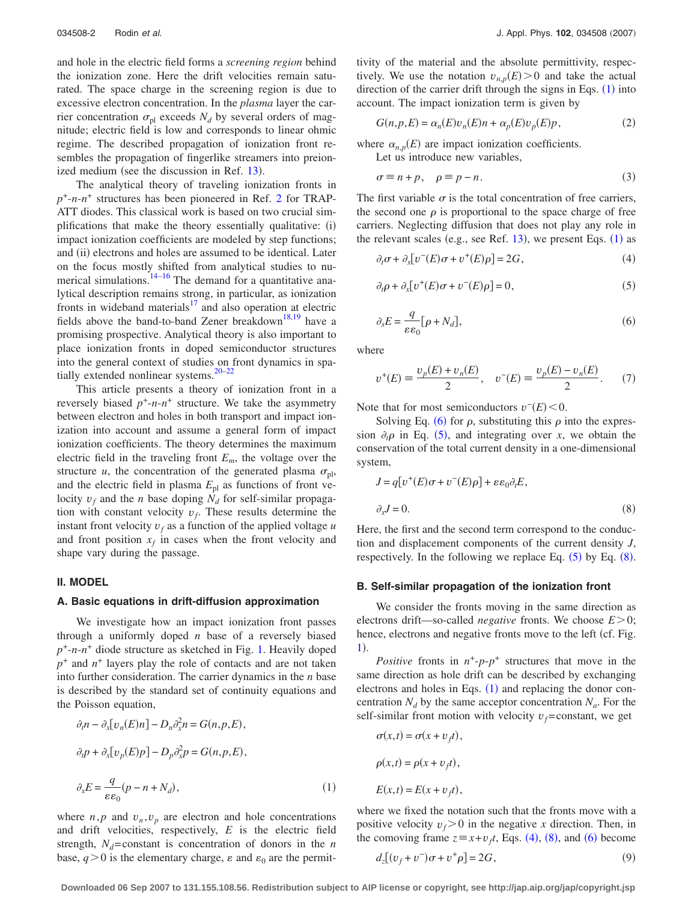and hole in the electric field forms a *screening region* behind the ionization zone. Here the drift velocities remain saturated. The space charge in the screening region is due to excessive electron concentration. In the *plasma* layer the carrier concentration  $\sigma_{\text{pl}}$  exceeds  $N_d$  by several orders of magnitude; electric field is low and corresponds to linear ohmic regime. The described propagation of ionization front resembles the propagation of fingerlike streamers into preion-ized medium (see the discussion in Ref. [13](#page-11-9)).

The analytical theory of traveling ionization fronts in *p*+-*n*-*n*<sup>+</sup> structures has been pioneered in Ref. [2](#page-11-2) for TRAP-ATT diodes. This classical work is based on two crucial simplifications that make the theory essentially qualitative: (i) impact ionization coefficients are modeled by step functions; and (ii) electrons and holes are assumed to be identical. Later on the focus mostly shifted from analytical studies to nu-merical simulations.<sup>14–[16](#page-11-11)</sup> The demand for a quantitative analytical description remains strong, in particular, as ionization fronts in wideband materials<sup>17</sup> and also operation at electric fields above the band-to-band Zener breakdown<sup>18,[19](#page-11-14)</sup> have a promising prospective. Analytical theory is also important to place ionization fronts in doped semiconductor structures into the general context of studies on front dynamics in spatially extended nonlinear systems. $20-22$ 

This article presents a theory of ionization front in a reversely biased  $p^+$ - $n$ - $n^+$  structure. We take the asymmetry between electron and holes in both transport and impact ionization into account and assume a general form of impact ionization coefficients. The theory determines the maximum electric field in the traveling front  $E_m$ , the voltage over the structure *u*, the concentration of the generated plasma  $\sigma_{\text{pl}}$ , and the electric field in plasma  $E_{\text{pl}}$  as functions of front velocity  $v_f$  and the *n* base doping  $N_d$  for self-similar propagation with constant velocity  $v_f$ . These results determine the instant front velocity  $v_f$  as a function of the applied voltage  $u$ and front position  $x_f$  in cases when the front velocity and shape vary during the passage.

## **II. MODEL**

## **A. Basic equations in drift-diffusion approximation**

We investigate how an impact ionization front passes through a uniformly doped *n* base of a reversely biased *p*+-*n*-*n*<sup>+</sup> diode structure as sketched in Fig. [1.](#page-0-1) Heavily doped  $p^+$  and  $n^+$  layers play the role of contacts and are not taken into further consideration. The carrier dynamics in the *n* base is described by the standard set of continuity equations and the Poisson equation,

<span id="page-1-0"></span>
$$
\partial_t n - \partial_x [v_n(E)n] - D_n \partial_x^2 n = G(n, p, E),
$$
  

$$
\partial_t p + \partial_x [v_p(E)p] - D_p \partial_x^2 p = G(n, p, E),
$$
  

$$
\partial_x E = \frac{q}{\varepsilon \varepsilon_0} (p - n + N_d),
$$
 (1)

where  $n, p$  and  $v_n, v_p$  are electron and hole concentrations and drift velocities, respectively, *E* is the electric field strength,  $N_d$ =constant is concentration of donors in the *n* base,  $q > 0$  is the elementary charge,  $\varepsilon$  and  $\varepsilon_0$  are the permittivity of the material and the absolute permittivity, respectively. We use the notation  $v_{n,p}(E) > 0$  and take the actual direction of the carrier drift through the signs in Eqs.  $(1)$  $(1)$  $(1)$  into account. The impact ionization term is given by

$$
G(n, p, E) = \alpha_n(E)v_n(E)n + \alpha_p(E)v_p(E)p,
$$
\n(2)

where  $\alpha_{n,p}(E)$  are impact ionization coefficients.

Let us introduce new variables,

$$
\sigma \equiv n + p, \quad \rho \equiv p - n. \tag{3}
$$

The first variable  $\sigma$  is the total concentration of free carriers, the second one  $\rho$  is proportional to the space charge of free carriers. Neglecting diffusion that does not play any role in the relevant scales (e.g., see Ref. [13](#page-11-9)), we present Eqs.  $(1)$  $(1)$  $(1)$  as

<span id="page-1-4"></span>
$$
\partial_t \sigma + \partial_x \big[ \nu^-(E) \sigma + \nu^+(E) \rho \big] = 2G,\tag{4}
$$

<span id="page-1-2"></span>
$$
\partial_t \rho + \partial_x \big[ \nu^+(E) \sigma + \nu^-(E) \rho \big] = 0,\tag{5}
$$

<span id="page-1-1"></span>
$$
\partial_x E = \frac{q}{\varepsilon \varepsilon_0} [\rho + N_d],\tag{6}
$$

where

$$
v^{+}(E) \equiv \frac{v_{p}(E) + v_{n}(E)}{2}, \quad v^{-}(E) \equiv \frac{v_{p}(E) - v_{n}(E)}{2}.
$$
 (7)

Note that for most semiconductors  $v^-(E) < 0$ .

Solving Eq. ([6](#page-1-1)) for  $\rho$ , substituting this  $\rho$  into the expression  $\partial_t \rho$  in Eq. ([5](#page-1-2)), and integrating over *x*, we obtain the conservation of the total current density in a one-dimensional system,

<span id="page-1-3"></span>
$$
J = q[v^{+}(E)\sigma + v^{-}(E)\rho] + \varepsilon \varepsilon_0 \partial_t E,
$$
  

$$
\partial_x J = 0.
$$
 (8)

Here, the first and the second term correspond to the conduction and displacement components of the current density *J*, respectively. In the following we replace Eq.  $(5)$  $(5)$  $(5)$  by Eq.  $(8)$  $(8)$  $(8)$ .

#### **B. Self-similar propagation of the ionization front**

We consider the fronts moving in the same direction as electrons drift—so-called *negative* fronts. We choose  $E > 0$ ; hence, electrons and negative fronts move to the left (cf. Fig. [1](#page-0-1)).

*Positive* fronts in  $n^+$ - $p$ - $p^+$  structures that move in the same direction as hole drift can be described by exchanging electrons and holes in Eqs.  $(1)$  $(1)$  $(1)$  and replacing the donor concentration  $N_d$  by the same acceptor concentration  $N_a$ . For the self-similar front motion with velocity  $v_f$ =constant, we get

$$
\sigma(x,t) = \sigma(x + v_f t),
$$
  
\n
$$
\rho(x,t) = \rho(x + v_f t),
$$
  
\n
$$
E(x,t) = E(x + v_f t),
$$

where we fixed the notation such that the fronts move with a positive velocity  $v_f > 0$  in the negative *x* direction. Then, in the comoving frame  $z = x + v_f t$ , Eqs. ([4](#page-1-4)), ([8](#page-1-3)), and ([6](#page-1-1)) become

<span id="page-1-5"></span>
$$
d_z[(v_f + v^-)\sigma + v^+\rho] = 2G,\t\t(9)
$$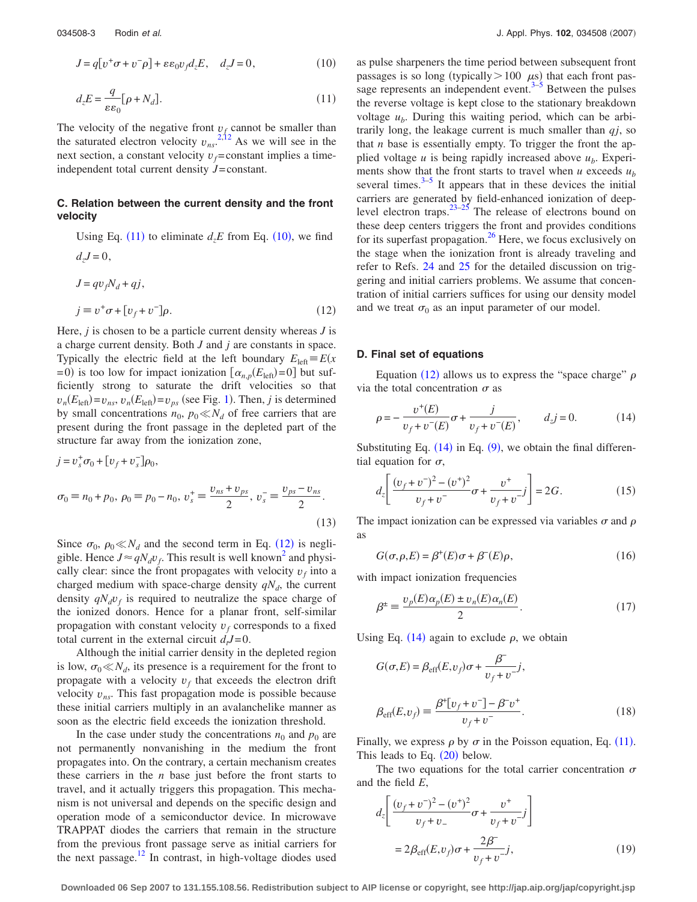<span id="page-2-1"></span>
$$
J = q[v^+\sigma + v^-\rho] + \varepsilon\varepsilon_0 v_f d_z E, \quad d_z J = 0,
$$
\n(10)

<span id="page-2-0"></span>
$$
d_z E = \frac{q}{\varepsilon \varepsilon_0} [\rho + N_d]. \tag{11}
$$

The velocity of the negative front  $v_f$  cannot be smaller than the saturated electron velocity  $v_{ns}$ <sup>[2](#page-11-2)[,12](#page-11-8)</sup> As we will see in the next section, a constant velocity  $v_f$ =constant implies a timeindependent total current density *J*=constant.

## **C. Relation between the current density and the front velocity**

<span id="page-2-2"></span>Using Eq. ([11](#page-2-0)) to eliminate  $d_z E$  from Eq. ([10](#page-2-1)), we find  $d_{z}J = 0$ ,

$$
J = qv_f N_d + qj,
$$
  
\n
$$
j \equiv v^+ \sigma + [v_f + v^-]\rho.
$$
\n(12)

Here, *j* is chosen to be a particle current density whereas *J* is a charge current density. Both *J* and *j* are constants in space. Typically the electric field at the left boundary  $E_{\text{left}} = E(x)$  $= 0$ ) is too low for impact ionization  $\left[ \alpha_{n,p}(E_{\text{left}}) = 0 \right]$  but sufficiently strong to saturate the drift velocities so that  $v_n(E_{\text{left}}) = v_{ns}, v_n(E_{\text{left}}) = v_{ps}$  (see Fig. [1](#page-0-1)). Then, *j* is determined by small concentrations  $n_0$ ,  $p_0 \ll N_d$  of free carriers that are present during the front passage in the depleted part of the structure far away from the ionization zone,

$$
j = v_s^+ \sigma_0 + [v_f + v_s^-] \rho_0,
$$
  
\n
$$
\sigma_0 \equiv n_0 + p_0, \ \rho_0 \equiv p_0 - n_0, \ v_s^+ \equiv \frac{v_{ns} + v_{ps}}{2}, \ v_s^- \equiv \frac{v_{ps} - v_{ns}}{2}.
$$
\n(13)

Since  $\sigma_0$ ,  $\rho_0 \ll N_d$  and the second term in Eq. ([12](#page-2-2)) is negligible. Hence  $J \approx qN_d v_f$ . This result is well known<sup>2</sup> and physically clear: since the front propagates with velocity  $v_f$  into a charged medium with space-charge density  $qN_d$ , the current density  $qN_d v_f$  is required to neutralize the space charge of the ionized donors. Hence for a planar front, self-similar propagation with constant velocity  $v_f$  corresponds to a fixed total current in the external circuit  $d_t J = 0$ .

Although the initial carrier density in the depleted region is low,  $\sigma_0 \ll N_d$ , its presence is a requirement for the front to propagate with a velocity  $v_f$  that exceeds the electron drift velocity  $v_{ns}$ . This fast propagation mode is possible because these initial carriers multiply in an avalanchelike manner as soon as the electric field exceeds the ionization threshold.

In the case under study the concentrations  $n_0$  and  $p_0$  are not permanently nonvanishing in the medium the front propagates into. On the contrary, a certain mechanism creates these carriers in the *n* base just before the front starts to travel, and it actually triggers this propagation. This mechanism is not universal and depends on the specific design and operation mode of a semiconductor device. In microwave TRAPPAT diodes the carriers that remain in the structure from the previous front passage serve as initial carriers for the next passage. $^{12}$  In contrast, in high-voltage diodes used as pulse sharpeners the time period between subsequent front passages is so long (typically  $> 100 \mu s$ ) that each front passage represents an independent event. $3-5$  Between the pulses the reverse voltage is kept close to the stationary breakdown voltage  $u<sub>b</sub>$ . During this waiting period, which can be arbitrarily long, the leakage current is much smaller than *qj*, so that *n* base is essentially empty. To trigger the front the applied voltage  $u$  is being rapidly increased above  $u<sub>b</sub>$ . Experiments show that the front starts to travel when  $u$  exceeds  $u<sub>b</sub>$ several times. $3-5$  It appears that in these devices the initial carriers are generated by field-enhanced ionization of deeplevel electron traps. $23-25$  The release of electrons bound on these deep centers triggers the front and provides conditions for its superfast propagation. $26$  Here, we focus exclusively on the stage when the ionization front is already traveling and refer to Refs. [24](#page-11-21) and [25](#page-11-19) for the detailed discussion on triggering and initial carriers problems. We assume that concentration of initial carriers suffices for using our density model and we treat  $\sigma_0$  as an input parameter of our model.

#### **D. Final set of equations**

Equation ([12](#page-2-2)) allows us to express the "space charge"  $\rho$ via the total concentration  $\sigma$  as

<span id="page-2-3"></span>
$$
\rho = -\frac{v^+(E)}{v_f + v^-(E)} \sigma + \frac{j}{v_f + v^-(E)}, \qquad d_z j = 0.
$$
 (14)

Substituting Eq.  $(14)$  $(14)$  $(14)$  in Eq.  $(9)$  $(9)$  $(9)$ , we obtain the final differential equation for  $\sigma$ ,

$$
d_z \left[ \frac{(v_f + v^-)^2 - (v^+)^2}{v_f + v^-} \sigma + \frac{v^+}{v_f + v^-} j \right] = 2G. \tag{15}
$$

The impact ionization can be expressed via variables  $\sigma$  and  $\rho$ as

$$
G(\sigma, \rho, E) = \beta^+(E)\sigma + \beta^-(E)\rho, \qquad (16)
$$

with impact ionization frequencies

$$
\beta^{\pm} \equiv \frac{\upsilon_p(E)\alpha_p(E) \pm \upsilon_n(E)\alpha_n(E)}{2}.
$$
 (17)

Using Eq. ([14](#page-2-3)) again to exclude  $\rho$ , we obtain

$$
G(\sigma, E) = \beta_{\text{eff}}(E, v_f)\sigma + \frac{\beta}{v_f + v^{-}}j,
$$
  

$$
\beta_{\text{eff}}(E, v_f) \equiv \frac{\beta^{\dagger}[v_f + v^{-}] - \beta^{\dagger}v^{+}}{v_f + v^{-}}.
$$
 (18)

Finally, we express  $\rho$  by  $\sigma$  in the Poisson equation, Eq. ([11](#page-2-0)). This leads to Eq.  $(20)$  $(20)$  $(20)$  below.

The two equations for the total carrier concentration  $\sigma$ and the field *E*,

<span id="page-2-4"></span>
$$
d_z \left[ \frac{(v_f + v^-)^2 - (v^+)^2}{v_f + v_-} \sigma + \frac{v^+}{v_f + v^-} j \right]
$$
  
=  $2\beta_{\text{eff}}(E, v_f)\sigma + \frac{2\beta^-}{v_f + v^-} j,$  (19)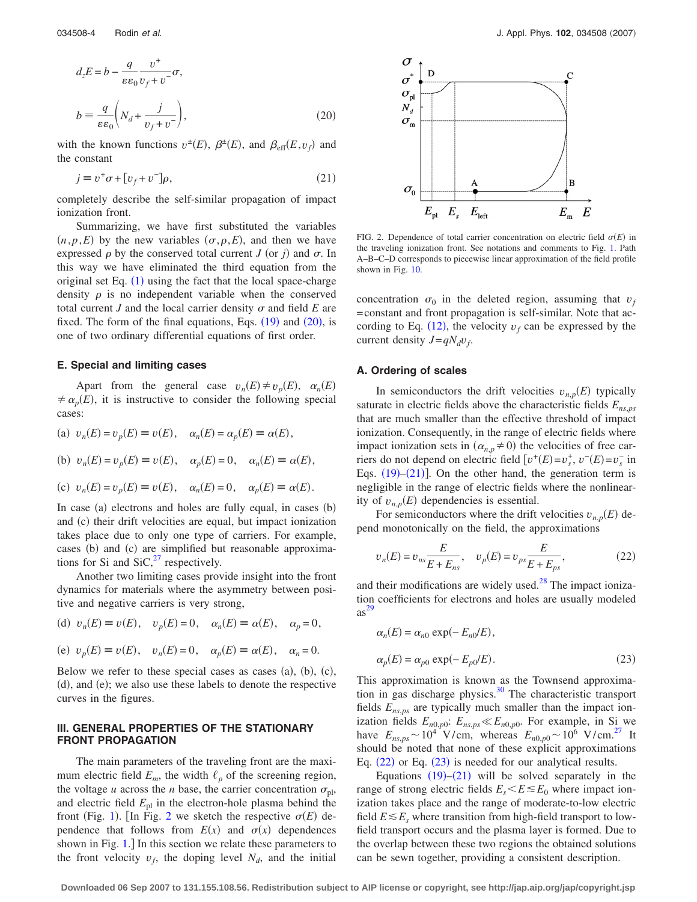<span id="page-3-0"></span>
$$
d_z E = b - \frac{q}{\varepsilon \varepsilon_0} \frac{v^+}{v_f + v^-} \sigma,
$$
  

$$
b = \frac{q}{\varepsilon \varepsilon_0} \left( N_d + \frac{j}{v_f + v^-} \right),
$$
 (20)

with the known functions  $v^{\pm}(E)$ ,  $\beta^{\pm}(E)$ , and  $\beta_{\text{eff}}(E, v_f)$  and the constant

$$
j \equiv v^+ \sigma + [v_f + v^-]\rho, \tag{21}
$$

<span id="page-3-2"></span>completely describe the self-similar propagation of impact ionization front.

Summarizing, we have first substituted the variables  $(n, p, E)$  by the new variables  $(\sigma, \rho, E)$ , and then we have expressed  $\rho$  by the conserved total current *J* (or *j*) and  $\sigma$ . In this way we have eliminated the third equation from the original set Eq.  $(1)$  $(1)$  $(1)$  using the fact that the local space-charge density  $\rho$  is no independent variable when the conserved total current *J* and the local carrier density  $\sigma$  and field *E* are fixed. The form of the final equations, Eqs.  $(19)$  $(19)$  $(19)$  and  $(20)$  $(20)$  $(20)$ , is one of two ordinary differential equations of first order.

#### **E. Special and limiting cases**

Apart from the general case  $v_n(E) \neq v_p(E)$ ,  $\alpha_n(E)$  $\neq \alpha_p(E)$ , it is instructive to consider the following special cases:

(a) 
$$
v_n(E) = v_p(E) \equiv v(E), \quad \alpha_n(E) = \alpha_p(E) \equiv \alpha(E),
$$
  
\n(b)  $v_n(E) = v_p(E) \equiv v(E), \quad \alpha_p(E) = 0, \quad \alpha_n(E) \equiv \alpha(E),$ 

(c) 
$$
v_n(E) = v_p(E) \equiv v(E)
$$
,  $\alpha_n(E) = 0$ ,  $\alpha_p(E) \equiv \alpha(E)$ 

In case (a) electrons and holes are fully equal, in cases (b) and (c) their drift velocities are equal, but impact ionization takes place due to only one type of carriers. For example, cases (b) and (c) are simplified but reasonable approximations for Si and  $\text{SiC},^{27}$  respectively.

Another two limiting cases provide insight into the front dynamics for materials where the asymmetry between positive and negative carriers is very strong,

(d) 
$$
v_n(E) \equiv v(E)
$$
,  $v_p(E) = 0$ ,  $\alpha_n(E) \equiv \alpha(E)$ ,  $\alpha_p = 0$ ,

(e) 
$$
v_p(E) \equiv v(E)
$$
,  $v_n(E) = 0$ ,  $\alpha_p(E) \equiv \alpha(E)$ ,  $\alpha_n = 0$ .

Below we refer to these special cases as cases  $(a)$ ,  $(b)$ ,  $(c)$ , (d), and (e); we also use these labels to denote the respective curves in the figures.

## **III. GENERAL PROPERTIES OF THE STATIONARY FRONT PROPAGATION**

The main parameters of the traveling front are the maximum electric field  $E_m$ , the width  $\ell_\rho$  of the screening region, the voltage *u* across the *n* base, the carrier concentration  $\sigma_{\text{pl}}$ , and electric field  $E_{\text{pl}}$  in the electron-hole plasma behind the front (Fig. [1](#page-0-1)). [In Fig. [2](#page-3-1) we sketch the respective  $\sigma(E)$  dependence that follows from  $E(x)$  and  $\sigma(x)$  dependences shown in Fig. [1.](#page-0-1)] In this section we relate these parameters to the front velocity  $v_f$ , the doping level  $N_d$ , and the initial

<span id="page-3-1"></span>

FIG. 2. Dependence of total carrier concentration on electric field  $\sigma(E)$  in the traveling ionization front. See notations and comments to Fig. [1.](#page-0-1) Path A–B–C–D corresponds to piecewise linear approximation of the field profile shown in Fig. [10.](#page-9-0)

concentration  $\sigma_0$  in the deleted region, assuming that  $v_f$ =constant and front propagation is self-similar. Note that according to Eq.  $(12)$  $(12)$  $(12)$ , the velocity  $v_f$  can be expressed by the current density  $J=qN_d v_f$ .

#### **A. Ordering of scales**

In semiconductors the drift velocities  $v_{n,p}(E)$  typically saturate in electric fields above the characteristic fields *Ens*,*ps* that are much smaller than the effective threshold of impact ionization. Consequently, in the range of electric fields where impact ionization sets in  $(\alpha_{n,p} \neq 0)$  the velocities of free carriers do not depend on electric field  $[v^+(E) = v_s^+, v^-(E) = v_s^-$  in Eqs.  $(19)$  $(19)$  $(19)$ – $(21)$  $(21)$  $(21)$ ]. On the other hand, the generation term is negligible in the range of electric fields where the nonlinearity of  $v_{n,p}(E)$  dependencies is essential.

For semiconductors where the drift velocities  $v_{n,p}(E)$  depend monotonically on the field, the approximations

<span id="page-3-3"></span>
$$
v_n(E) = v_{ns} \frac{E}{E + E_{ns}}, \quad v_p(E) = v_{ps} \frac{E}{E + E_{ps}},
$$
 (22)

and their modifications are widely used. $^{28}$  The impact ionization coefficients for electrons and holes are usually modeled as [29](#page-12-2)

<span id="page-3-4"></span>
$$
\alpha_n(E) = \alpha_{n0} \exp(-E_{n0}/E),
$$
  
\n
$$
\alpha_p(E) = \alpha_{p0} \exp(-E_{p0}/E).
$$
\n(23)

This approximation is known as the Townsend approximation in gas discharge physics[.30](#page-12-3) The characteristic transport fields  $E_{ns,ps}$  are typically much smaller than the impact ionization fields  $E_{n0,p0}$ :  $E_{ns,ps} \ll E_{n0,p0}$ . For example, in Si we have  $E_{ns,ps} \sim 10^4$  V/cm, whereas  $E_{n0,p0} \sim 10^6$  V/cm.<sup>27</sup> It should be noted that none of these explicit approximations Eq.  $(22)$  $(22)$  $(22)$  or Eq.  $(23)$  $(23)$  $(23)$  is needed for our analytical results.

Equations  $(19)$  $(19)$  $(19)$ - $(21)$  $(21)$  $(21)$  will be solved separately in the range of strong electric fields  $E_s \leq E \leq E_0$  where impact ionization takes place and the range of moderate-to-low electric field  $E \leq E_s$  where transition from high-field transport to lowfield transport occurs and the plasma layer is formed. Due to the overlap between these two regions the obtained solutions can be sewn together, providing a consistent description.

**Downloaded 06 Sep 2007 to 131.155.108.56. Redistribution subject to AIP license or copyright, see http://jap.aip.org/jap/copyright.jsp**

.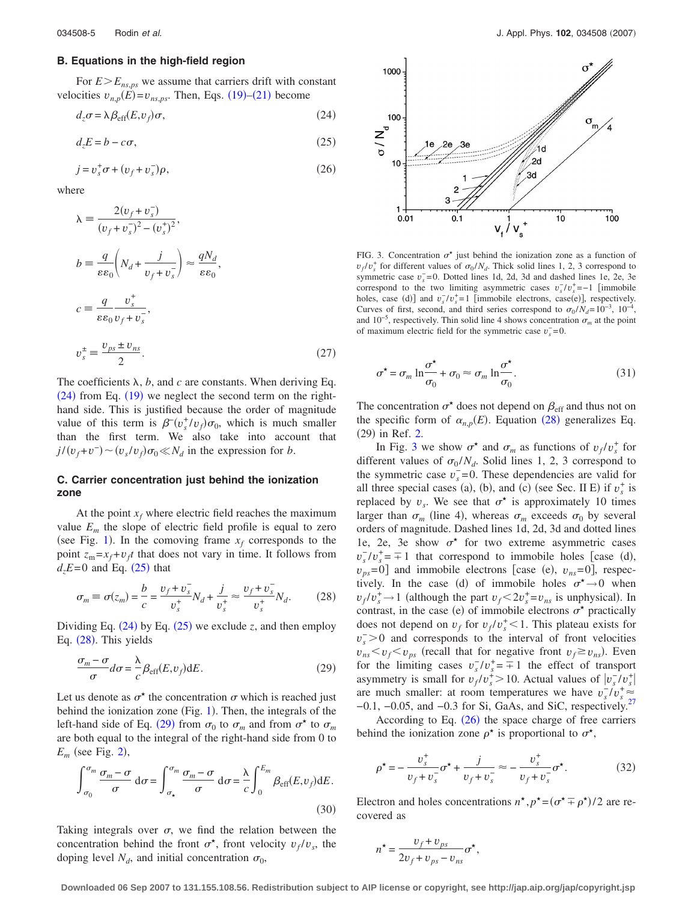## **B. Equations in the high-field region**

For  $E>E_{ns,ps}$  we assume that carriers drift with constant velocities  $v_{n,p}(\vec{E}) = v_{ns,ps}$ . Then, Eqs. ([19](#page-2-4))–([21](#page-3-2)) become

<span id="page-4-0"></span>
$$
d_z \sigma = \lambda \beta_{\text{eff}}(E, v_f) \sigma,\tag{24}
$$

<span id="page-4-1"></span>
$$
d_z E = b - c\sigma,\tag{25}
$$

<span id="page-4-5"></span>
$$
j = v_s^+ \sigma + (v_f + v_s^-) \rho, \qquad (26)
$$

where

$$
\lambda = \frac{2(v_f + v_s^-)}{(v_f + v_s^-)^2 - (v_s^+)^2},
$$
\n
$$
b = \frac{q}{\varepsilon \varepsilon_0} \left( N_d + \frac{j}{v_f + v_s^-} \right) \approx \frac{qN_d}{\varepsilon \varepsilon_0},
$$
\n
$$
c = \frac{q}{\varepsilon \varepsilon_0} \frac{v_s^+}{v_f + v_s^-},
$$
\n
$$
v_s^{\pm} = \frac{v_{ps} \pm v_{ns}}{2}.
$$
\n(27)

The coefficients  $\lambda$ ,  $b$ , and  $c$  are constants. When deriving Eq.  $(24)$  $(24)$  $(24)$  from Eq.  $(19)$  $(19)$  $(19)$  we neglect the second term on the righthand side. This is justified because the order of magnitude value of this term is  $\beta^{-}(v_s^+/v_f)\sigma_0$ , which is much smaller than the first term. We also take into account that  $j/(v_f + v^-) \sim (v_s/v_f)\sigma_0 \ll N_d$  in the expression for *b*.

## **C. Carrier concentration just behind the ionization zone**

At the point  $x_f$  where electric field reaches the maximum value  $E_m$  the slope of electric field profile is equal to zero (see Fig. [1](#page-0-1)). In the comoving frame  $x_f$  corresponds to the point  $z_m = x_f + v_f t$  that does not vary in time. It follows from  $d_z E = 0$  and Eq. ([25](#page-4-1)) that

<span id="page-4-2"></span>
$$
\sigma_m \equiv \sigma(z_m) = \frac{b}{c} = \frac{v_f + v_s^-}{v_s^+} N_d + \frac{j}{v_s^+} \approx \frac{v_f + v_s^-}{v_s^+} N_d. \tag{28}
$$

Dividing Eq.  $(24)$  $(24)$  $(24)$  by Eq.  $(25)$  $(25)$  $(25)$  we exclude *z*, and then employ Eq. ([28](#page-4-2)). This yields

<span id="page-4-3"></span>
$$
\frac{\sigma_m - \sigma}{\sigma} d\sigma = \frac{\lambda}{c} \beta_{\text{eff}}(E, v_f) dE.
$$
 (29)

Let us denote as  $\sigma^*$  the concentration  $\sigma$  which is reached just behind the ionization zone (Fig. [1](#page-0-1)). Then, the integrals of the left-hand side of Eq. ([29](#page-4-3)) from  $\sigma_0$  to  $\sigma_m$  and from  $\sigma^*$  to  $\sigma_m$ are both equal to the integral of the right-hand side from 0 to  $E_m$  (see Fig. [2](#page-3-1)),

$$
\int_{\sigma_0}^{\sigma_m} \frac{\sigma_m - \sigma}{\sigma} d\sigma = \int_{\sigma_\star}^{\sigma_m} \frac{\sigma_m - \sigma}{\sigma} d\sigma = \frac{\lambda}{c} \int_0^{E_m} \beta_{\text{eff}}(E, v_f) dE.
$$
\n(30)

Taking integrals over  $\sigma$ , we find the relation between the concentration behind the front  $\sigma^*$ , front velocity  $v_f/v_s$ , the doping level  $N_d$ , and initial concentration  $\sigma_0$ ,

<span id="page-4-4"></span>

FIG. 3. Concentration  $\sigma^*$  just behind the ionization zone as a function of  $v_f/v_s^*$  for different values of  $\sigma_0/N_d$ . Thick solid lines 1, 2, 3 correspond to symmetric case  $v_s = 0$ . Dotted lines 1d, 2d, 3d and dashed lines 1e, 2e, 3e correspond to the two limiting asymmetric cases  $v_s^2/v_s^* = -1$  [immobile holes, case (d)] and  $v_s^-/v_s^+ = 1$  [immobile electrons, case(e)], respectively. Curves of first, second, and third series correspond to  $\sigma_0 / N_d = 10^{-3}$ , 10<sup>-4</sup>, and 10<sup>-5</sup>, respectively. Thin solid line 4 shows concentration  $\sigma_m$  at the point of maximum electric field for the symmetric case  $v_s^{\text{-}}=0$ .

<span id="page-4-6"></span>
$$
\sigma^* = \sigma_m \ln \frac{\sigma^*}{\sigma_0} + \sigma_0 \approx \sigma_m \ln \frac{\sigma^*}{\sigma_0}.
$$
 (31)

The concentration  $\sigma^*$  does not depend on  $\beta_{\text{eff}}$  and thus not on the specific form of  $\alpha_{n,p}(E)$ . Equation ([28](#page-4-2)) generalizes Eq. (29) in Ref. [2.](#page-11-2)

In Fig. [3](#page-4-4) we show  $\sigma^*$  and  $\sigma_m$  as functions of  $v_f/v_s^*$  for different values of  $\sigma_0 / N_d$ . Solid lines 1, 2, 3 correspond to the symmetric case  $v_s = 0$ . These dependencies are valid for all three special cases (a), (b), and (c) (see Sec. II E) if  $v_s^+$  is replaced by  $v_s$ . We see that  $\sigma^*$  is approximately 10 times larger than  $\sigma_m$  (line 4), whereas  $\sigma_m$  exceeds  $\sigma_0$  by several orders of magnitude. Dashed lines 1d, 2d, 3d and dotted lines 1e, 2e, 3e show  $\sigma^*$  for two extreme asymmetric cases  $v_s^-/v_s^+ = \pm 1$  that correspond to immobile holes [case (d),  $v_{ps}$ =0] and immobile electrons [case (e),  $v_{ns}$ =0], respectively. In the case (d) of immobile holes  $\sigma^* \rightarrow 0$  when  $v_f/v_s^+ \rightarrow 1$  (although the part  $v_f < 2v_s^+ = v_{ns}$  is unphysical). In contrast, in the case (e) of immobile electrons  $\sigma^*$  practically does not depend on  $v_f$  for  $v_f/v_s^+$  < 1. This plateau exists for  $v_s$  > 0 and corresponds to the interval of front velocities  $v_{ns} < v_f < v_{ps}$  (recall that for negative front  $v_f \ge v_{ns}$ ). Even for the limiting cases  $v_s^-/v_s^+ = -1$  the effect of transport asymmetry is small for  $v_f/v_s^2 > 10$ . Actual values of  $|v_s/v_s^2|$ are much smaller: at room temperatures we have  $v_s^2/v_s^2 \approx$ −0.1, −0.05, and −0.3 for Si, GaAs, and SiC, respectively[.27](#page-12-0)

According to Eq.  $(26)$  $(26)$  $(26)$  the space charge of free carriers behind the ionization zone  $\rho^*$  is proportional to  $\sigma^*$ ,

<span id="page-4-7"></span>
$$
\rho^* = -\frac{v_s^+}{v_f + v_s^-} \sigma^* + \frac{j}{v_f + v_s^-} \approx -\frac{v_s^+}{v_f + v_s^-} \sigma^*.
$$
 (32)

Electron and holes concentrations  $n^*$ ,  $p^* = (\sigma^* \mp \rho^*)/2$  are recovered as

<span id="page-4-8"></span>
$$
n^{\star} = \frac{v_f + v_{ps}}{2v_f + v_{ps} - v_{ns}} \sigma^{\star},
$$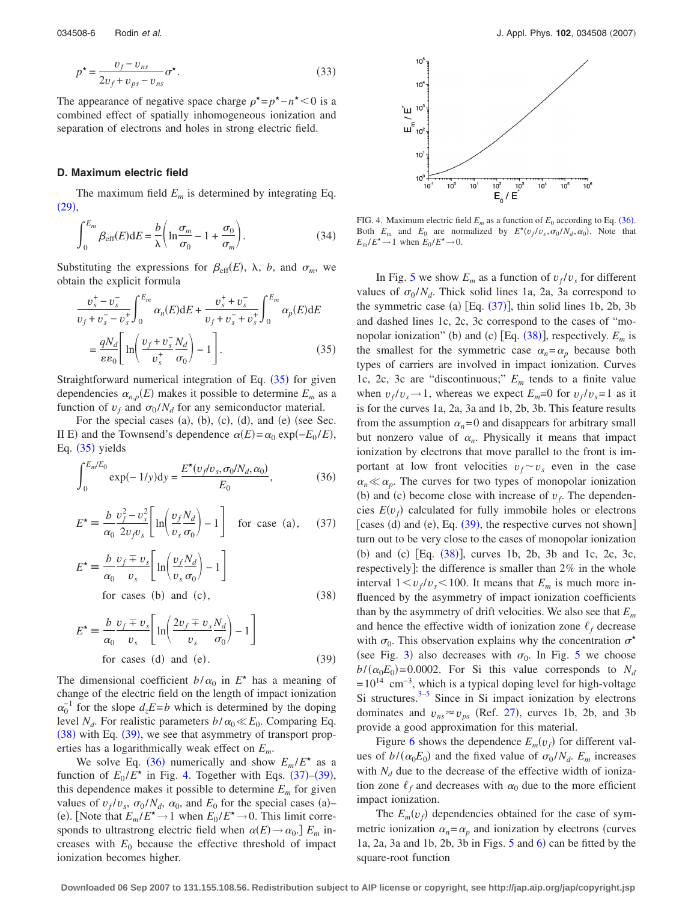$$
p^* = \frac{v_f - v_{ns}}{2v_f + v_{ps} - v_{ns}} \sigma^*.
$$
\n(33)

The appearance of negative space charge  $\rho^* = p^* - n^* < 0$  is a combined effect of spatially inhomogeneous ionization and separation of electrons and holes in strong electric field.

## **D. Maximum electric field**

The maximum field  $E_m$  is determined by integrating Eq.  $(29),$  $(29),$  $(29),$ 

<span id="page-5-6"></span>
$$
\int_0^{E_m} \beta_{\rm eff}(E) dE = \frac{b}{\lambda} \left( \ln \frac{\sigma_m}{\sigma_0} - 1 + \frac{\sigma_0}{\sigma_m} \right). \tag{34}
$$

Substituting the expressions for  $\beta_{\text{eff}}(E)$ ,  $\lambda$ ,  $b$ , and  $\sigma_m$ , we obtain the explicit formula

<span id="page-5-0"></span>
$$
\frac{v_s^+ - v_s^-}{v_f + v_s^- - v_s^+} \int_0^{E_m} \alpha_n(E) \,dE + \frac{v_s^+ + v_s^-}{v_f + v_s^- + v_s^+} \int_0^{E_m} \alpha_p(E) \,dE
$$
\n
$$
= \frac{qN_d}{\varepsilon \varepsilon_0} \left[ \ln \left( \frac{v_f + v_s^-}{v_s^+} \frac{N_d}{\sigma_0} \right) - 1 \right]. \tag{35}
$$

Straightforward numerical integration of Eq.  $(35)$  $(35)$  $(35)$  for given dependencies  $\alpha_{n,p}(E)$  makes it possible to determine  $E_m$  as a function of  $v_f$  and  $\sigma_0 / N_d$  for any semiconductor material.

For the special cases (a), (b), (c), (d), and (e) (see Sec. II E) and the Townsend's dependence  $\alpha(E) = \alpha_0 \exp(-E_0 / E)$ , Eq.  $(35)$  $(35)$  $(35)$  yields

<span id="page-5-3"></span>
$$
\int_{0}^{E_m/E_0} \exp(-1/y) dy = \frac{E^{\star}(v_f/v_s, \sigma_0/N_d, \alpha_0)}{E_0},
$$
\n(36)

<span id="page-5-5"></span>
$$
E^* = \frac{b}{\alpha_0} \frac{v_f^2 - v_s^2}{2v_f v_s} \left[ \ln \left( \frac{v_f N_d}{v_s \sigma_0} \right) - 1 \right]
$$
 for case (a), (37)

<span id="page-5-1"></span>
$$
E^* \equiv \frac{b}{\alpha_0} \frac{v_f \mp v_s}{v_s} \left[ \ln \left( \frac{v_f N_d}{v_s \sigma_0} \right) - 1 \right]
$$
  
for cases (b) and (c), (38)

<span id="page-5-2"></span>
$$
E^* = \frac{b v_f \pm v_s}{\alpha_0 v_s} \left[ \ln \left( \frac{2v_f \pm v_s N_d}{v_s} \right) - 1 \right]
$$
  
for cases (d) and (e). (39)

The dimensional coefficient  $b/\alpha_0$  in  $E^*$  has a meaning of change of the electric field on the length of impact ionization  $\alpha_0^{-1}$  for the slope  $d_zE = b$  which is determined by the doping level  $N_d$ . For realistic parameters  $b/\alpha_0 \ll E_0$ . Comparing Eq.  $(38)$  $(38)$  $(38)$  with Eq.  $(39)$  $(39)$  $(39)$ , we see that asymmetry of transport properties has a logarithmically weak effect on *Em*.

We solve Eq. ([36](#page-5-3)) numerically and show  $E_m / E^*$  as a function of  $E_0 / E^*$  in Fig. [4.](#page-5-4) Together with Eqs.  $(37)$  $(37)$  $(37)$ – $(39)$  $(39)$  $(39)$ , this dependence makes it possible to determine  $E_m$  for given values of  $v_f/v_s$ ,  $\sigma_0/N_d$ ,  $\alpha_0$ , and  $E_0$  for the special cases (a)– (e). [Note that  $E_m / E^* \to 1$  when  $E_0 / E^* \to 0$ . This limit corresponds to ultrastrong electric field when  $\alpha(E) \rightarrow \alpha_0$ . *E<sub>m</sub>* increases with  $E_0$  because the effective threshold of impact ionization becomes higher.

<span id="page-5-4"></span>

FIG. 4. Maximum electric field  $E_m$  as a function of  $E_0$  according to Eq. ([36](#page-5-3)). Both  $E_m$  and  $E_0$  are normalized by  $E^*(v_f/v_s, \sigma_0/N_d, \alpha_0)$ . Note that  $E_m/E^* \to 1$  when  $E_0/E^* \to 0$ .

In Fig. [5](#page-6-0) we show  $E_m$  as a function of  $v_f/v_s$  for different values of  $\sigma_0 / N_d$ . Thick solid lines 1a, 2a, 3a correspond to the symmetric case (a)  $[Eq. (37)]$  $[Eq. (37)]$  $[Eq. (37)]$ , thin solid lines 1b, 2b, 3b and dashed lines 1c, 2c, 3c correspond to the cases of "monopolar ionization" (b) and (c) [Eq.  $(38)$  $(38)$  $(38)$ ], respectively.  $E_m$  is the smallest for the symmetric case  $\alpha_n = \alpha_p$  because both types of carriers are involved in impact ionization. Curves 1c, 2c, 3c are "discontinuous;" *Em* tends to a finite value when  $v_f/v_s \rightarrow 1$ , whereas we expect  $E_m = 0$  for  $v_f/v_s = 1$  as it is for the curves 1a, 2a, 3a and 1b, 2b, 3b. This feature results from the assumption  $\alpha_n=0$  and disappears for arbitrary small but nonzero value of  $\alpha_n$ . Physically it means that impact ionization by electrons that move parallel to the front is important at low front velocities  $v_f \sim v_s$  even in the case  $\alpha_n \ll \alpha_p$ . The curves for two types of monopolar ionization (b) and (c) become close with increase of  $v_f$ . The dependencies  $E(v_f)$  calculated for fully immobile holes or electrons [cases (d) and (e), Eq.  $(39)$  $(39)$  $(39)$ , the respective curves not shown] turn out to be very close to the cases of monopolar ionization (b) and (c) [Eq. ([38](#page-5-1))], curves 1b, 2b, 3b and 1c, 2c, 3c, respectively]: the difference is smaller than 2% in the whole interval  $1 \lt v_f/v_s \lt 100$ . It means that  $E_m$  is much more influenced by the asymmetry of impact ionization coefficients than by the asymmetry of drift velocities. We also see that *Em* and hence the effective width of ionization zone  $\ell_f$  decrease with  $\sigma_0$ . This observation explains why the concentration  $\sigma^*$ (see Fig. [3](#page-4-4)) also decreases with  $\sigma_0$ . In Fig. [5](#page-6-0) we choose  $b/(\alpha_0 E_0)$  = 0.0002. For Si this value corresponds to *N<sub>d</sub>*  $= 10^{14}$  cm<sup>-3</sup>, which is a typical doping level for high-voltage Si structures. $3-5$  Since in Si impact ionization by electrons dominates and  $v_{ns} \approx v_{ps}$  (Ref. [27](#page-12-0)), curves 1b, 2b, and 3b provide a good approximation for this material.

Figure [6](#page-6-1) shows the dependence  $E_m(v_f)$  for different values of  $b/(\alpha_0 E_0)$  and the fixed value of  $\sigma_0/N_d$ .  $E_m$  increases with  $N_d$  due to the decrease of the effective width of ionization zone  $\ell_f$  and decreases with  $\alpha_0$  due to the more efficient impact ionization.

The  $E_m(v_f)$  dependencies obtained for the case of symmetric ionization  $\alpha_n = \alpha_n$  and ionization by electrons (curves  $1a$ ,  $2a$ ,  $3a$  and  $1b$ ,  $2b$ ,  $3b$  in Figs.  $5$  and  $6$ ) can be fitted by the square-root function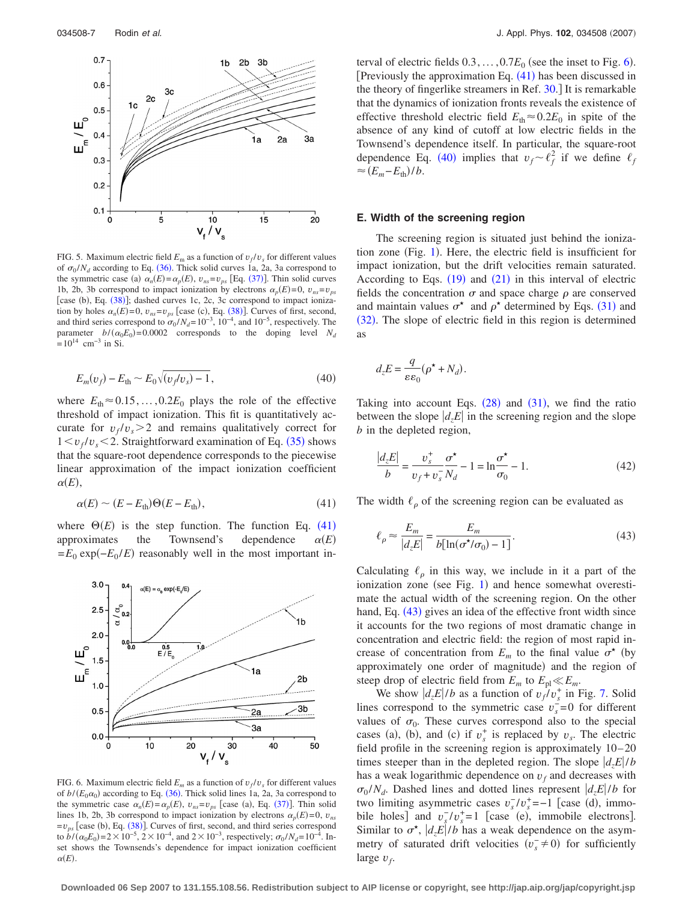<span id="page-6-0"></span>

FIG. 5. Maximum electric field  $E_m$  as a function of  $v_f/v_s$  for different values of  $\sigma_0 / N_d$  according to Eq. ([36](#page-5-3)). Thick solid curves 1a, 2a, 3a correspond to the symmetric case (a)  $\alpha_n(E) = \alpha_p(E)$ ,  $v_{ns} = v_{ps}$  [Eq. ([37](#page-5-5))]. Thin solid curves 1b, 2b, 3b correspond to impact ionization by electrons  $\alpha_p(E)=0$ ,  $v_{ns}=v_{ps}$ [case (b), Eq. ([38](#page-5-1))]; dashed curves 1c, 2c, 3c correspond to impact ionization by holes  $\alpha_n(E) = 0$ ,  $v_{ns} = v_{ps}$  [case (c), Eq. ([38](#page-5-1))]. Curves of first, second, and third series correspond to  $\sigma_0 / N_d = 10^{-3}$ ,  $10^{-4}$ , and  $10^{-5}$ , respectively. The parameter  $b/(\alpha_0 E_0) = 0.0002$  corresponds to the doping level  $N_d$  $= 10^{14}$  cm<sup>-3</sup> in Si.

<span id="page-6-3"></span>
$$
E_m(v_f) - E_{\text{th}} \sim E_0 \sqrt{(v_f/v_s) - 1},\tag{40}
$$

where  $E_{\text{th}} \approx 0.15, \ldots, 0.2E_0$  plays the role of the effective threshold of impact ionization. This fit is quantitatively accurate for  $v_f/v_s$  > 2 and remains qualitatively correct for  $1 < v_f/v_s < 2$ . Straightforward examination of Eq. ([35](#page-5-0)) shows that the square-root dependence corresponds to the piecewise linear approximation of the impact ionization coefficient  $\alpha(E)$ ,

$$
\alpha(E) \sim (E - E_{\text{th}}) \Theta(E - E_{\text{th}}),\tag{41}
$$

<span id="page-6-2"></span>where  $\Theta(E)$  is the step function. The function Eq. ([41](#page-6-2)) approximates the Townsend's dependence  $\alpha(E)$  $=E_0 \exp(-E_0/E)$  reasonably well in the most important in-

<span id="page-6-1"></span>

FIG. 6. Maximum electric field  $E_m$  as a function of  $v_f/v_s$  for different values of  $b/(E_0\alpha_0)$  according to Eq. ([36](#page-5-3)). Thick solid lines 1a, 2a, 3a correspond to the symmetric case  $\alpha_n(E) = \alpha_p(E)$ ,  $v_{ns} = v_{ps}$  [case (a), Eq. ([37](#page-5-5))]. Thin solid lines 1b, 2b, 3b correspond to impact ionization by electrons  $\alpha_p(E)=0$ ,  $v_{ns}$  $=v_{ps}$  [case (b), Eq. ([38](#page-5-1))]. Curves of first, second, and third series correspond to  $b/(\alpha_0 E_0) = 2 \times 10^{-5}$ ,  $2 \times 10^{-4}$ , and  $2 \times 10^{-3}$ , respectively;  $\sigma_0/N_d = 10^{-4}$ . Inset shows the Townsends's dependence for impact ionization coefficient  $\alpha(E)$ .

terval of electric fields  $0.3, \ldots, 0.7E_0$  (see the inset to Fig. [6](#page-6-1)). [Previously the approximation Eq.  $(41)$  $(41)$  $(41)$  has been discussed in the theory of fingerlike streamers in Ref. [30.](#page-12-3) It is remarkable that the dynamics of ionization fronts reveals the existence of effective threshold electric field  $E_{\text{th}} \approx 0.2E_0$  in spite of the absence of any kind of cutoff at low electric fields in the Townsend's dependence itself. In particular, the square-root dependence Eq. ([40](#page-6-3)) implies that  $v_f \sim \ell_f^2$  if we define  $\ell_f$  $\approx (E_m - E_{\text{th}})/b.$ 

## **E. Width of the screening region**

The screening region is situated just behind the ionization zone (Fig.  $1$ ). Here, the electric field is insufficient for impact ionization, but the drift velocities remain saturated. According to Eqs.  $(19)$  $(19)$  $(19)$  and  $(21)$  $(21)$  $(21)$  in this interval of electric fields the concentration  $\sigma$  and space charge  $\rho$  are conserved and maintain values  $\sigma^*$  and  $\rho^*$  determined by Eqs. ([31](#page-4-6)) and ([32](#page-4-7)). The slope of electric field in this region is determined as

$$
d_z E = \frac{q}{\varepsilon \varepsilon_0} (\rho^{\star} + N_d).
$$

Taking into account Eqs.  $(28)$  $(28)$  $(28)$  and  $(31)$  $(31)$  $(31)$ , we find the ratio between the slope  $|d,E|$  in the screening region and the slope *b* in the depleted region,

<span id="page-6-5"></span>
$$
\frac{|d_z E|}{b} = \frac{v_s^+}{v_f + v_s^-} \frac{\sigma^*}{N_d} - 1 = \ln \frac{\sigma^*}{\sigma_0} - 1.
$$
 (42)

<span id="page-6-4"></span>The width  $\ell_{\rho}$  of the screening region can be evaluated as

$$
\ell_{\rho} \approx \frac{E_m}{|d_z E|} = \frac{E_m}{b[\ln(\sigma^{\star}/\sigma_0) - 1]}.
$$
\n(43)

Calculating  $\ell_{\rho}$  in this way, we include in it a part of the ionization zone (see Fig. [1](#page-0-1)) and hence somewhat overestimate the actual width of the screening region. On the other hand, Eq. ([43](#page-6-4)) gives an idea of the effective front width since it accounts for the two regions of most dramatic change in concentration and electric field: the region of most rapid increase of concentration from  $E_m$  to the final value  $\sigma^*$  (by approximately one order of magnitude) and the region of steep drop of electric field from  $E_m$  to  $E_p \ll E_m$ .

We show  $|d_z E|/b$  as a function of  $v_f/v_s^+$  in Fig. [7.](#page-7-0) Solid lines correspond to the symmetric case  $v_s = 0$  for different values of  $\sigma_0$ . These curves correspond also to the special cases (a), (b), and (c) if  $v_s^+$  is replaced by  $v_s$ . The electric field profile in the screening region is approximately  $10-20$ times steeper than in the depleted region. The slope  $\frac{d}{dz}E/b$ has a weak logarithmic dependence on  $v_f$  and decreases with  $\sigma_0/N_d$ . Dashed lines and dotted lines represent  $\left| \frac{d_z E}{dt} \right|$  for two limiting asymmetric cases  $v_s^-/v_s^+ = -1$  [case (d), immobile holes] and  $v_s^-/v_s^+ = 1$  [case (e), immobile electrons]. Similar to  $\sigma^*$ ,  $\left| \frac{d}{e}E \right|/b$  has a weak dependence on the asymmetry of saturated drift velocities  $(v_s^- \neq 0)$  for sufficiently large *vf*.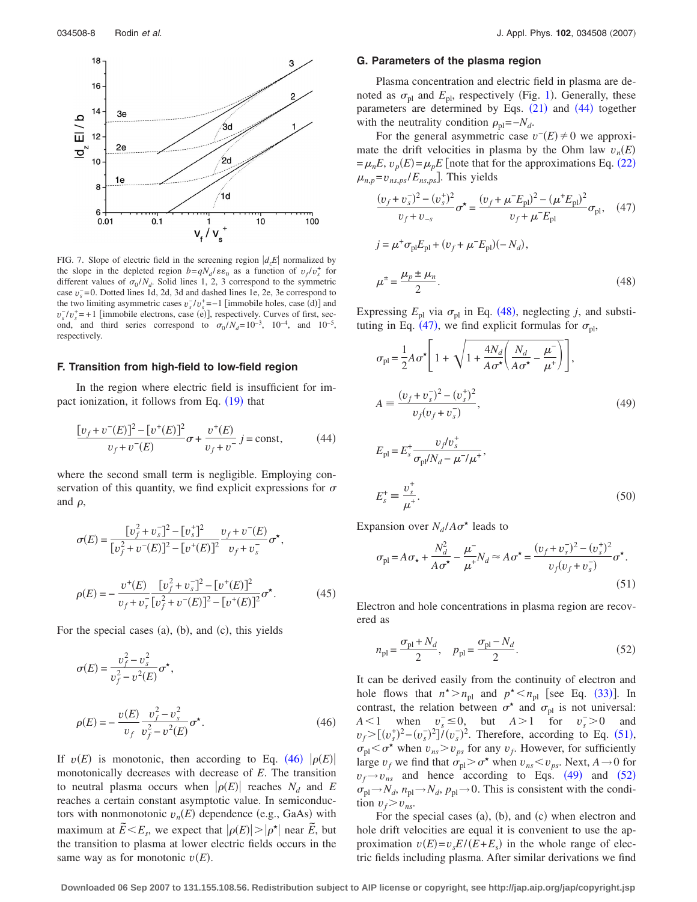<span id="page-7-0"></span>

FIG. 7. Slope of electric field in the screening region  $|d_zE|$  normalized by the slope in the depleted region  $b = qN_d / \varepsilon \varepsilon_0$  as a function of  $v_f / v_s^+$  for different values of  $\sigma_0 / N_d$ . Solid lines 1, 2, 3 correspond to the symmetric case  $v_s = 0$ . Dotted lines 1d, 2d, 3d and dashed lines 1e, 2e, 3e correspond to the two limiting asymmetric cases  $v_s^2/v_s^* = -1$  [immobile holes, case (d)] and  $v_s^-/v_s^+$  = +1 [immobile electrons, case (e)], respectively. Curves of first, second, and third series correspond to  $\sigma_0 / N_d = 10^{-3}$ ,  $10^{-4}$ , and  $10^{-5}$ , respectively.

#### **F. Transition from high-field to low-field region**

In the region where electric field is insufficient for im-pact ionization, it follows from Eq. ([19](#page-2-4)) that

<span id="page-7-2"></span>
$$
\frac{[v_f + v^-(E)]^2 - [v^+(E)]^2}{v_f + v^-(E)} \sigma + \frac{v^+(E)}{v_f + v^-} j = \text{const},\tag{44}
$$

where the second small term is negligible. Employing conservation of this quantity, we find explicit expressions for  $\sigma$ and  $\rho$ ,

$$
\sigma(E) = \frac{[v_f^2 + v_s^-]^2 - [v_s^+]^2}{[v_f^2 + v^-(E)]^2 - [v^+(E)]^2} \frac{v_f + v^-(E)}{v_f + v_s^-} \sigma^*,
$$
  

$$
\rho(E) = -\frac{v^+(E)}{v_f + v_s^-} \frac{[v_f^2 + v_s^-]^2 - [v^+(E)]^2}{[v_f^2 + v^-(E)]^2 - [v^+(E)]^2} \sigma^*. \tag{45}
$$

<span id="page-7-1"></span>For the special cases  $(a)$ ,  $(b)$ , and  $(c)$ , this yields

$$
\sigma(E) = \frac{v_f^2 - v_s^2}{v_f^2 - v^2(E)} \sigma^*,
$$
  

$$
\rho(E) = -\frac{v(E)}{v_f} \frac{v_f^2 - v_s^2}{v_f^2 - v^2(E)} \sigma^*.
$$
 (46)

If  $v(E)$  is monotonic, then according to Eq. ([46](#page-7-1))  $|\rho(E)|$ monotonically decreases with decrease of *E*. The transition to neutral plasma occurs when  $|\rho(E)|$  reaches  $N_d$  and *E* reaches a certain constant asymptotic value. In semiconductors with nonmonotonic  $v_n(E)$  dependence (e.g., GaAs) with maximum at  $\tilde{E} \le E_s$ , we expect that  $|\rho(E)| > |\rho^*|$  near  $\tilde{E}$ , but the transition to plasma at lower electric fields occurs in the same way as for monotonic  $v(E)$ .

## **G. Parameters of the plasma region**

<span id="page-7-3"></span> $j = \mu^+ \sigma_{\text{pl}} E_{\text{pl}} + (v_f + \mu^- E_{\text{pl}})(-N_d),$ 

Plasma concentration and electric field in plasma are denoted as  $\sigma_{\text{pl}}$  and  $E_{\text{pl}}$ , respectively (Fig. [1](#page-0-1)). Generally, these parameters are determined by Eqs.  $(21)$  $(21)$  $(21)$  and  $(44)$  $(44)$  $(44)$  together with the neutrality condition  $\rho_{\text{nl}} = -N_d$ .

For the general asymmetric case  $v^-(E) \neq 0$  we approximate the drift velocities in plasma by the Ohm law  $v_n(E)$  $=\mu_n E$ ,  $v_p(E) = \mu_p E$  [note that for the approximations Eq. ([22](#page-3-3))  $\mu_{n,p} = v_{ns,ps}/E_{ns,ps}$ . This yields

<span id="page-7-4"></span>
$$
\frac{(v_f + v_s^{-})^2 - (v_s^{+})^2}{v_f + v_{-s}} \sigma^* = \frac{(v_f + \mu^{-} E_{\text{pl}})^2 - (\mu^{+} E_{\text{pl}})^2}{v_f + \mu^{-} E_{\text{pl}}} \sigma_{\text{pl}}, \quad (47)
$$

$$
\mu^{\pm} = \frac{\mu_p \pm \mu_n}{2}.
$$
\n(48)

Expressing  $E_{\text{pl}}$  via  $\sigma_{\text{pl}}$  in Eq. ([48](#page-7-3)), neglecting *j*, and substi-tuting in Eq. ([47](#page-7-4)), we find explicit formulas for  $\sigma_{\text{pl}}$ ,

<span id="page-7-6"></span>
$$
\sigma_{\text{pl}} = \frac{1}{2} A \sigma^* \left[ 1 + \sqrt{1 + \frac{4N_d}{A \sigma^*} \left( \frac{N_d}{A \sigma^*} - \frac{\mu^-}{\mu^+} \right)} \right],
$$
  
\n
$$
A = \frac{(v_f + v_s^-)^2 - (v_s^+)^2}{v_f (v_f + v_s^-)},
$$
  
\n
$$
E_{\text{pl}} = E_s^+ \frac{v_f' v_s^+}{\sigma_{\text{pl}} / N_d - \mu^- / \mu^+},
$$
\n(49)

<span id="page-7-8"></span>
$$
E_s^+ \equiv \frac{v_s^+}{\mu^+}.\tag{50}
$$

<span id="page-7-5"></span>Expansion over  $N_d/A\sigma^*$  leads to

$$
\sigma_{\text{pl}} = A \sigma_{\star} + \frac{N_d^2}{A \sigma^{\star}} - \frac{\mu^{-}}{\mu^{+}} N_d \approx A \sigma^{\star} = \frac{(v_f + v_s^{-})^2 - (v_s^{+})^2}{v_f (v_f + v_s^{-})} \sigma^{\star}.
$$
\n(51)

Electron and hole concentrations in plasma region are recovered as

<span id="page-7-7"></span>
$$
n_{\rm pl} = \frac{\sigma_{\rm pl} + N_d}{2}, \quad p_{\rm pl} = \frac{\sigma_{\rm pl} - N_d}{2}.
$$
 (52)

It can be derived easily from the continuity of electron and hole flows that  $n^* > n_{\text{pl}}$  and  $p^* < n_{\text{pl}}$  [see Eq. ([33](#page-4-8))]. In contrast, the relation between  $\sigma^*$  and  $\sigma_{\text{pl}}$  is not universal: *A*  $< 1$  when  $v_s^{\text{-}} \le 0$ , but *A*  $> 1$  for  $v_s^{\text{-}} > 0$  and  $v_f$  >  $[(v_s^+)^2 - (v_s^-)^2]/(v_s^-)^2$ . Therefore, according to Eq. ([51](#page-7-5)),  $\sigma_{\text{pl}} < \sigma^*$  when  $v_{ns} > v_{ps}$  for any  $v_f$ . However, for sufficiently large  $v_f$  we find that  $\sigma_{\text{pl}} > \sigma^*$  when  $v_{ns} < v_{ps}$ . Next,  $A \rightarrow 0$  for  $v_f \rightarrow v_{ns}$  and hence according to Eqs. ([49](#page-7-6)) and ([52](#page-7-7))  $\sigma_{\text{pl}} \rightarrow N_d$ ,  $n_{\text{pl}} \rightarrow N_d$ ,  $p_{\text{pl}} \rightarrow 0$ . This is consistent with the condition  $v_f > v_{ns}$ .

For the special cases (a), (b), and (c) when electron and hole drift velocities are equal it is convenient to use the approximation  $v(E) = v_s E/(E + E_s)$  in the whole range of electric fields including plasma. After similar derivations we find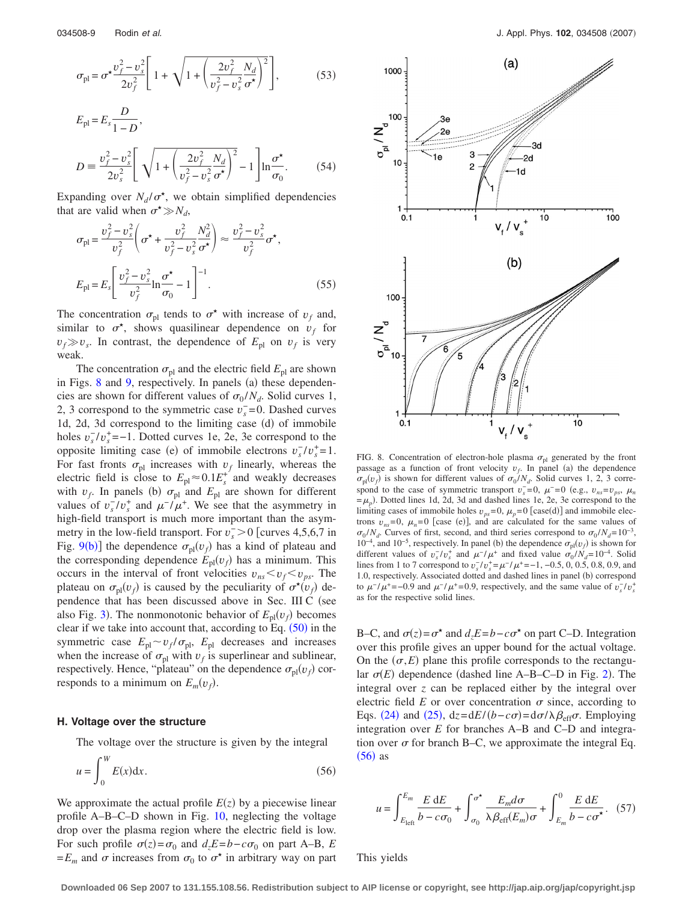$$
\sigma_{\rm pl} = \sigma^{\star} \frac{v_f^2 - v_s^2}{2v_f^2} \left[ 1 + \sqrt{1 + \left( \frac{2v_f^2}{v_f^2 - v_s^2} \frac{N_d}{\sigma^{\star}} \right)^2} \right],\tag{53}
$$

$$
E_{\rm pl} = E_s \frac{D}{1 - D},
$$
  
\n
$$
D = \frac{v_f^2 - v_s^2}{2v_s^2} \left[ \sqrt{1 + \left( \frac{2v_f^2}{v_f^2 - v_s^2} \frac{N_d}{\sigma^*} \right)^2} - 1 \right] \ln \frac{\sigma^*}{\sigma_0}.
$$
 (54)

Expanding over  $N_d / \sigma^*$ , we obtain simplified dependencies that are valid when  $\sigma^* \gg N_d$ ,

$$
\sigma_{\text{pl}} = \frac{v_f^2 - v_s^2}{v_f^2} \left( \sigma^* + \frac{v_f^2}{v_f^2 - v_s^2} \frac{N_d^2}{\sigma^*} \right) \approx \frac{v_f^2 - v_s^2}{v_f^2} \sigma^*,
$$
\n
$$
E_{\text{pl}} = E_s \left[ \frac{v_f^2 - v_s^2}{v_f^2} \ln \frac{\sigma^*}{\sigma_0} - 1 \right]^{-1}.
$$
\n(55)

The concentration  $\sigma_{\text{pl}}$  tends to  $\sigma^*$  with increase of  $v_f$  and, similar to  $\sigma^*$ , shows quasilinear dependence on  $v_f$  for  $v_f \gg v_s$ . In contrast, the dependence of  $E_{\text{pl}}$  on  $v_f$  is very weak.

The concentration  $\sigma_{\text{pl}}$  and the electric field  $E_{\text{pl}}$  are shown in Figs. [8](#page-8-0) and [9,](#page-9-1) respectively. In panels (a) these dependencies are shown for different values of  $\sigma_0 / N_d$ . Solid curves 1, 2, 3 correspond to the symmetric case  $v_s^-$  = 0. Dashed curves 1d, 2d, 3d correspond to the limiting case (d) of immobile holes  $v_s^T/v_s^*$  =−1. Dotted curves 1e, 2e, 3e correspond to the opposite limiting case (e) of immobile electrons  $v_s^2/v_s^2 = 1$ . For fast fronts  $\sigma_{\text{pl}}$  increases with  $v_f$  linearly, whereas the electric field is close to  $E_{\text{pl}} \approx 0.1 E_s^+$  and weakly decreases with  $v_f$ . In panels (b)  $\sigma_{\text{pl}}$  and  $E_{\text{pl}}$  are shown for different values of  $v_s^-/v_s^+$  and  $\mu^-/\mu^+$ . We see that the asymmetry in high-field transport is much more important than the asymmetry in the low-field transport. For  $v_s$  > 0 [curves 4,5,6,7 in Fig. [9](#page-9-1)(b)] the dependence  $\sigma_{\text{pl}}(v_f)$  has a kind of plateau and the corresponding dependence  $E_{\text{pl}}(v_f)$  has a minimum. This occurs in the interval of front velocities  $v_{ns} < v_f < v_{ps}$ . The plateau on  $\sigma_{\text{pl}}(v_f)$  is caused by the peculiarity of  $\sigma^*(v_f)$  dependence that has been discussed above in Sec. III C (see also Fig. [3](#page-4-4)). The nonmonotonic behavior of  $E_{\text{pl}}(v_f)$  becomes clear if we take into account that, according to Eq.  $(50)$  $(50)$  $(50)$  in the symmetric case  $E_{\text{pl}} \sim v_f / \sigma_{\text{pl}}$ ,  $E_{\text{pl}}$  decreases and increases when the increase of  $\sigma_{\text{pl}}$  with  $v_f$  is superlinear and sublinear, respectively. Hence, "plateau" on the dependence  $\sigma_{\text{pl}}(v_f)$  corresponds to a minimum on  $E_m(v_f)$ .

## **H. Voltage over the structure**

<span id="page-8-1"></span>The voltage over the structure is given by the integral *W*

$$
u = \int_0^W E(x) dx.
$$
 (56)

We approximate the actual profile  $E(z)$  by a piecewise linear profile A–B–C–D shown in Fig. [10,](#page-9-0) neglecting the voltage drop over the plasma region where the electric field is low. For such profile  $\sigma(z) = \sigma_0$  and  $d_z E = b - c \sigma_0$  on part A–B, *E*  $=E_m$  and  $\sigma$  increases from  $\sigma_0$  to  $\sigma^*$  in arbitrary way on part

<span id="page-8-0"></span>

FIG. 8. Concentration of electron-hole plasma  $\sigma_{\text{pl}}$  generated by the front passage as a function of front velocity  $v_f$ . In panel (a) the dependence  $\sigma_{\text{pl}}(v_f)$  is shown for different values of  $\sigma_0 / N_d$ . Solid curves 1, 2, 3 correspond to the case of symmetric transport  $v_s^- = 0$ ,  $\mu^- = 0$  (e.g.,  $v_{ns} = v_{ps}$ ,  $\mu_n$  $=$  $\mu_p$ ). Dotted lines 1d, 2d, 3d and dashed lines 1e, 2e, 3e correspond to the limiting cases of immobile holes  $v_{ps} = 0$ ,  $\mu_p = 0$  [case(d)] and immobile electrons  $v_{ns} = 0$ ,  $\mu_n = 0$  [case (e)], and are calculated for the same values of  $\sigma_0 / N_d$ . Curves of first, second, and third series correspond to  $\sigma_0 / N_d = 10^{-3}$ , 10<sup>-4</sup>, and 10<sup>-5</sup>, respectively. In panel (b) the dependence  $\sigma_{\text{pl}}(v_f)$  is shown for different values of  $v_s^-/v_s^+$  and  $\mu^-/\mu^+$  and fixed value  $\sigma_0/N_d=10^{-4}$ . Solid lines from 1 to 7 correspond to  $v_s^-/v_s^+ = \mu^-/\mu^+ = -1, -0.5, 0, 0.5, 0.8, 0.9,$  and 1.0, respectively. Associated dotted and dashed lines in panel (b) correspond to  $\mu^{-}/\mu^{+} = -0.9$  and  $\mu^{-}/\mu^{+} = 0.9$ , respectively, and the same value of  $v_s^{-}/v_s^{+}$ as for the respective solid lines.

B–C, and  $\sigma(z) = \sigma^*$  and  $d_z E = b - c \sigma^*$  on part C–D. Integration over this profile gives an upper bound for the actual voltage. On the  $(\sigma, E)$  plane this profile corresponds to the rectangular  $\sigma(E)$  dependence (dashed line A–B–C–D in Fig. [2](#page-3-1)). The integral over *z* can be replaced either by the integral over electric field  $E$  or over concentration  $\sigma$  since, according to Eqs. ([24](#page-4-0)) and ([25](#page-4-1)),  $dz = dE/(b - c\sigma) = d\sigma/\lambda \beta_{eff}\sigma$ . Employing integration over *E* for branches A–B and C–D and integration over  $\sigma$  for branch B–C, we approximate the integral Eq.  $(56)$  $(56)$  $(56)$  as

$$
u = \int_{E_{\text{left}}}^{E_m} \frac{E \, \mathrm{d}E}{b - c\sigma_0} + \int_{\sigma_0}^{\sigma^*} \frac{E_m d\sigma}{\lambda \beta_{\text{eff}}(E_m)\sigma} + \int_{E_m}^0 \frac{E \, \mathrm{d}E}{b - c\sigma^*}.
$$
 (57)

This yields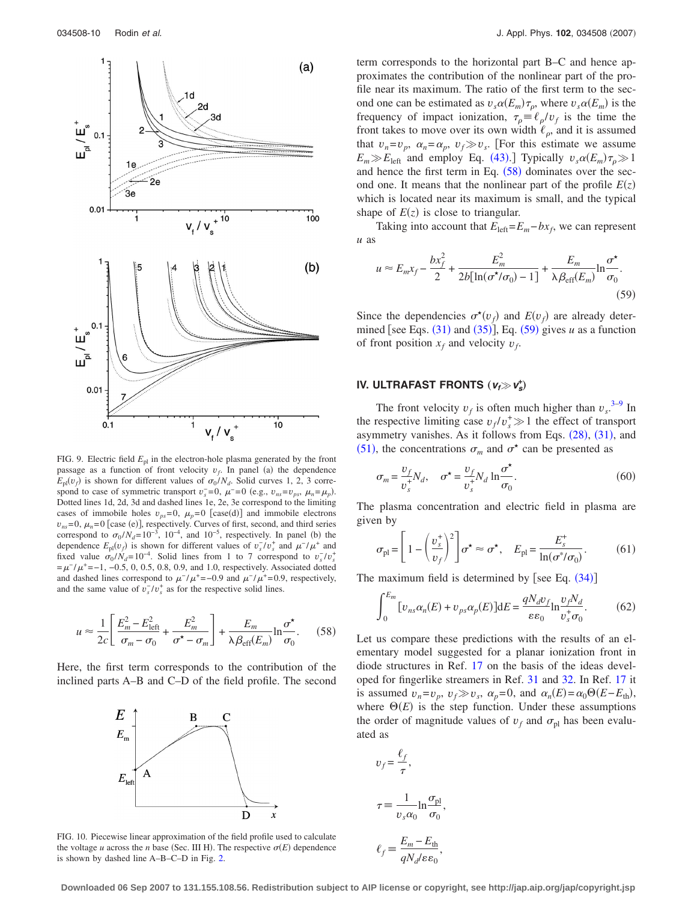<span id="page-9-1"></span>

FIG. 9. Electric field  $E_{\text{pl}}$  in the electron-hole plasma generated by the front passage as a function of front velocity  $v_f$ . In panel (a) the dependence  $E_{\text{pl}}(v_f)$  is shown for different values of  $\sigma_0 / N_d$ . Solid curves 1, 2, 3 correspond to case of symmetric transport  $v_s^- = 0$ ,  $\mu^- = 0$  (e.g.,  $v_{ns} = v_{ps}$ ,  $\mu_n = \mu_p$ ). Dotted lines 1d, 2d, 3d and dashed lines 1e, 2e, 3e correspond to the limiting cases of immobile holes  $v_{ps} = 0$ ,  $\mu_p = 0$  [case(d)] and immobile electrons  $v_{ns}$ =0,  $\mu_n$ =0 [case (e)], respectively. Curves of first, second, and third series correspond to  $\sigma_0 / N_d = 10^{-3}$ ,  $10^{-4}$ , and  $10^{-5}$ , respectively. In panel (b) the dependence  $E_{\text{pl}}(v_f)$  is shown for different values of  $v_s^-/v_s^+$  and  $\mu^-/\mu^+$  and fixed value  $\sigma_0 / N_d = 10^{-4}$ . Solid lines from 1 to 7 correspond to  $v_s / v_s^+$  $=\mu^{-}/\mu^{+}=-1, -0.5, 0, 0.5, 0.8, 0.9,$  and 1.0, respectively. Associated dotted and dashed lines correspond to  $\mu^{-}/\mu^{+} = -0.9$  and  $\mu^{-}/\mu^{+} = 0.9$ , respectively, and the same value of  $v_s^-/v_s^+$  as for the respective solid lines.

<span id="page-9-2"></span>
$$
u \approx \frac{1}{2c} \left[ \frac{E_m^2 - E_{\text{left}}^2}{\sigma_m - \sigma_0} + \frac{E_m^2}{\sigma^* - \sigma_m} \right] + \frac{E_m}{\lambda \beta_{\text{eff}}(E_m)} \ln \frac{\sigma^*}{\sigma_0}.
$$
 (58)

<span id="page-9-0"></span>Here, the first term corresponds to the contribution of the inclined parts A–B and C–D of the field profile. The second



term corresponds to the horizontal part B–C and hence approximates the contribution of the nonlinear part of the profile near its maximum. The ratio of the first term to the second one can be estimated as  $v_s \alpha(E_m) \tau_p$ , where  $v_s \alpha(E_m)$  is the frequency of impact ionization,  $\tau_{\rho} = \ell_{\rho}/v_f$  is the time the front takes to move over its own width  $\ell_{\rho}$ , and it is assumed that  $v_n = v_p$ ,  $\alpha_n = \alpha_p$ ,  $v_f \gg v_s$ . [For this estimate we assume  $E_m \gg E_{\text{left}}$  and employ Eq. ([43](#page-6-4)). Typically  $v_s \alpha(E_m) \tau_\rho \gg 1$ and hence the first term in Eq.  $(58)$  $(58)$  $(58)$  dominates over the second one. It means that the nonlinear part of the profile  $E(z)$ which is located near its maximum is small, and the typical shape of  $E(z)$  is close to triangular.

Taking into account that  $E_{\text{left}}=E_m-bx_f$ , we can represent *u* as

<span id="page-9-3"></span>
$$
u \approx E_m x_f - \frac{bx_f^2}{2} + \frac{E_m^2}{2b[\ln(\sigma^{\star}/\sigma_0) - 1]} + \frac{E_m}{\lambda \beta_{\text{eff}}(E_m)} \ln \frac{\sigma^{\star}}{\sigma_0}.
$$
\n(59)

Since the dependencies  $\sigma^*(v_f)$  and  $E(v_f)$  are already determined [see Eqs.  $(31)$  $(31)$  $(31)$  and  $(35)$  $(35)$  $(35)$ ], Eq.  $(59)$  $(59)$  $(59)$  gives *u* as a function of front position  $x_f$  and velocity  $v_f$ .

## **IV. ULTRAFAST FRONTS**  $(v_f \gg v_s^*)$

The front velocity  $v_f$  is often much higher than  $v_s^{3-9}$  $v_s^{3-9}$  $v_s^{3-9}$  In the respective limiting case  $v_f/v_s^* \gg 1$  the effect of transport asymmetry vanishes. As it follows from Eqs.  $(28)$  $(28)$  $(28)$ ,  $(31)$  $(31)$  $(31)$ , and ([51](#page-7-5)), the concentrations  $\sigma_m$  and  $\sigma^*$  can be presented as

<span id="page-9-5"></span>
$$
\sigma_m = \frac{v_f}{v_s^+} N_d, \quad \sigma^* = \frac{v_f}{v_s^+} N_d \ln \frac{\sigma^*}{\sigma_0}.
$$
\n(60)

The plasma concentration and electric field in plasma are given by

<span id="page-9-6"></span>
$$
\sigma_{\text{pl}} = \left[1 - \left(\frac{v_s^+}{v_f}\right)^2\right] \sigma^* \approx \sigma^*, \quad E_{\text{pl}} = \frac{E_s^+}{\ln(\sigma^*/\sigma_0)}.\tag{61}
$$

<span id="page-9-4"></span>The maximum field is determined by [see Eq.  $(34)$  $(34)$  $(34)$ ]

$$
\int_0^{E_m} [v_{ns}\alpha_n(E) + v_{ps}\alpha_p(E)]dE = \frac{qN_d v_f}{\varepsilon\varepsilon_0} \ln \frac{v_f N_d}{v_s^+ \sigma_0}.
$$
 (62)

Let us compare these predictions with the results of an elementary model suggested for a planar ionization front in diode structures in Ref. [17](#page-11-12) on the basis of the ideas developed for fingerlike streamers in Ref. [31](#page-12-4) and [32.](#page-12-5) In Ref. [17](#page-11-12) it is assumed  $v_n = v_p$ ,  $v_f \gg v_s$ ,  $\alpha_p = 0$ , and  $\alpha_n(E) = \alpha_0 \Theta(E - E_{\text{th}})$ , where  $\Theta(E)$  is the step function. Under these assumptions the order of magnitude values of  $v_f$  and  $\sigma_{\text{pl}}$  has been evaluated as

<span id="page-9-7"></span>
$$
v_f = \frac{\ell_f}{\tau},
$$
  

$$
\tau \equiv \frac{1}{v_s \alpha_0} \ln \frac{\sigma_{\text{pl}}}{\sigma_0}
$$

,

,

$$
\ell_f \equiv \frac{E_m - E_{\text{th}}}{qN_d/\varepsilon\varepsilon_0}
$$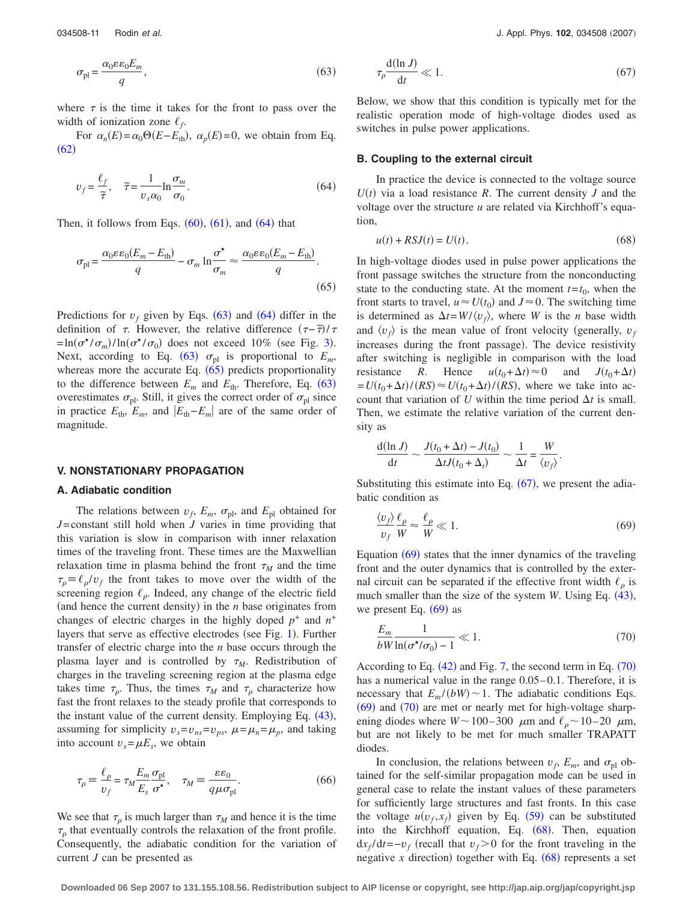$$
\sigma_{\rm pl} = \frac{\alpha_0 \varepsilon \varepsilon_0 E_m}{q},\tag{63}
$$

where  $\tau$  is the time it takes for the front to pass over the width of ionization zone  $\ell_f$ .

For  $\alpha_n(E) = \alpha_0 \Theta(E - E_{\text{th}})$ ,  $\alpha_p(E) = 0$ , we obtain from Eq.  $(62)$  $(62)$  $(62)$ 

<span id="page-10-0"></span>
$$
v_f = \frac{\ell_f}{\tilde{\tau}}, \quad \tilde{\tau} = \frac{1}{v_s \alpha_0} \ln \frac{\sigma_m}{\sigma_0}.
$$
\n(64)

<span id="page-10-1"></span>Then, it follows from Eqs.  $(60)$  $(60)$  $(60)$ ,  $(61)$  $(61)$  $(61)$ , and  $(64)$  $(64)$  $(64)$  that

$$
\sigma_{\rm pl} = \frac{\alpha_0 \varepsilon \varepsilon_0 (E_m - E_{\rm th})}{q} - \sigma_m \ln \frac{\sigma^*}{\sigma_m} \approx \frac{\alpha_0 \varepsilon \varepsilon_0 (E_m - E_{\rm th})}{q}.
$$
\n(65)

Predictions for  $v_f$  given by Eqs. ([63](#page-9-7)) and ([64](#page-10-0)) differ in the definition of  $\tau$ . However, the relative difference  $(\tau - \tilde{\tau})/\tau$  $=\ln (\sigma^* / \sigma_m) / \ln (\sigma^* / \sigma_0)$  does not exceed 10% (see Fig. [3](#page-4-4)). Next, according to Eq. ([63](#page-9-7))  $\sigma_{\text{pl}}$  is proportional to  $E_m$ , whereas more the accurate Eq.  $(65)$  $(65)$  $(65)$  predicts proportionality to the difference between  $E_m$  and  $E_{th}$ . Therefore, Eq. ([63](#page-9-7)) overestimates  $\sigma_{\text{pl}}$ . Still, it gives the correct order of  $\sigma_{\text{pl}}$  since in practice  $E_{\text{th}}$ ,  $E_m$ , and  $|E_{\text{th}}-E_m|$  are of the same order of magnitude.

#### **V. NONSTATIONARY PROPAGATION**

## **A. Adiabatic condition**

The relations between  $v_f$ ,  $E_m$ ,  $\sigma_{pl}$ , and  $E_{pl}$  obtained for *J*=constant still hold when *J* varies in time providing that this variation is slow in comparison with inner relaxation times of the traveling front. These times are the Maxwellian relaxation time in plasma behind the front  $\tau_M$  and the time  $\tau_{\rho} = \ell_{\rho}/v_{f}$  the front takes to move over the width of the screening region  $\ell_{\rho}$ . Indeed, any change of the electric field (and hence the current density) in the  $n$  base originates from changes of electric charges in the highly doped  $p^+$  and  $n^+$ layers that serve as effective electrodes (see Fig. [1](#page-0-1)). Further transfer of electric charge into the *n* base occurs through the plasma layer and is controlled by  $\tau_M$ . Redistribution of charges in the traveling screening region at the plasma edge takes time  $\tau_{\rho}$ . Thus, the times  $\tau_M$  and  $\tau_{\rho}$  characterize how fast the front relaxes to the steady profile that corresponds to the instant value of the current density. Employing Eq. ([43](#page-6-4)), assuming for simplicity  $v_s = v_{ns} = v_{ps}$ ,  $\mu = \mu_n = \mu_p$ , and taking into account  $v_s = \mu E_s$ , we obtain

<span id="page-10-6"></span>
$$
\tau_{\rho} \equiv \frac{\ell_{\rho}}{v_f} = \tau_M \frac{E_m \sigma_{\text{pl}}}{E_s \sigma^{\star}}, \quad \tau_M \equiv \frac{\varepsilon \varepsilon_0}{q \mu \sigma_{\text{pl}}}.
$$
 (66)

We see that  $\tau_{\rho}$  is much larger than  $\tau_M$  and hence it is the time  $\tau<sub>o</sub>$  that eventually controls the relaxation of the front profile. Consequently, the adiabatic condition for the variation of current *J* can be presented as

<span id="page-10-2"></span>
$$
\tau_{\rho} \frac{\mathrm{d}(\ln J)}{\mathrm{d}t} \ll 1. \tag{67}
$$

Below, we show that this condition is typically met for the realistic operation mode of high-voltage diodes used as switches in pulse power applications.

#### **B. Coupling to the external circuit**

In practice the device is connected to the voltage source  $U(t)$  via a load resistance *R*. The current density *J* and the voltage over the structure *u* are related via Kirchhoff's equation,

$$
u(t) + RSJ(t) = U(t). \tag{68}
$$

<span id="page-10-5"></span>In high-voltage diodes used in pulse power applications the front passage switches the structure from the nonconducting state to the conducting state. At the moment  $t = t_0$ , when the front starts to travel,  $u \approx U(t_0)$  and  $J \approx 0$ . The switching time is determined as  $\Delta t = W/(v_f)$ , where *W* is the *n* base width and  $\langle v_f \rangle$  is the mean value of front velocity (generally,  $v_f$ increases during the front passage). The device resistivity after switching is negligible in comparison with the load resistance *R*. Hence  $u(t_0 + \Delta t) \approx 0$  and  $J(t_0 + \Delta t)$  $= U(t_0 + \Delta t) / (RS) \approx U(t_0 + \Delta t) / (RS)$ , where we take into account that variation of *U* within the time period  $\Delta t$  is small. Then, we estimate the relative variation of the current density as

$$
\frac{d(\ln J)}{dt} \sim \frac{J(t_0 + \Delta t) - J(t_0)}{\Delta t J(t_0 + \Delta_t)} \sim \frac{1}{\Delta t} = \frac{W}{\langle v_f \rangle}
$$

Substituting this estimate into Eq.  $(67)$  $(67)$  $(67)$ , we present the adiabatic condition as

<span id="page-10-3"></span>
$$
\frac{\langle v_f \rangle}{v_f} \frac{\ell_\rho}{W} \approx \frac{\ell_\rho}{W} \ll 1. \tag{69}
$$

.

Equation  $(69)$  $(69)$  $(69)$  states that the inner dynamics of the traveling front and the outer dynamics that is controlled by the external circuit can be separated if the effective front width  $\ell_{\rho}$  is much smaller than the size of the system  $W$ . Using Eq.  $(43)$  $(43)$  $(43)$ , we present Eq.  $(69)$  $(69)$  $(69)$  as

<span id="page-10-4"></span>
$$
\frac{E_m}{bW \ln(\sigma^\star/\sigma_0) - 1} \ll 1. \tag{70}
$$

According to Eq.  $(42)$  $(42)$  $(42)$  and Fig. [7,](#page-7-0) the second term in Eq.  $(70)$  $(70)$  $(70)$ has a numerical value in the range  $0.05-0.1$ . Therefore, it is necessary that  $E_m/(bW) \sim 1$ . The adiabatic conditions Eqs. ([69](#page-10-3)) and ([70](#page-10-4)) are met or nearly met for high-voltage sharpening diodes where  $W \sim 100-300 \mu m$  and  $\ell_{\rho} \sim 10-20 \mu m$ , but are not likely to be met for much smaller TRAPATT diodes.

In conclusion, the relations between  $v_f$ ,  $E_m$ , and  $\sigma_{\text{pl}}$  obtained for the self-similar propagation mode can be used in general case to relate the instant values of these parameters for sufficiently large structures and fast fronts. In this case the voltage  $u(v_f, x_f)$  given by Eq. ([59](#page-9-3)) can be substituted into the Kirchhoff equation, Eq.  $(68)$  $(68)$  $(68)$ . Then, equation  $dx_f/dt = -v_f$  (recall that  $v_f > 0$  for the front traveling in the negative  $x$  direction) together with Eq.  $(68)$  $(68)$  $(68)$  represents a set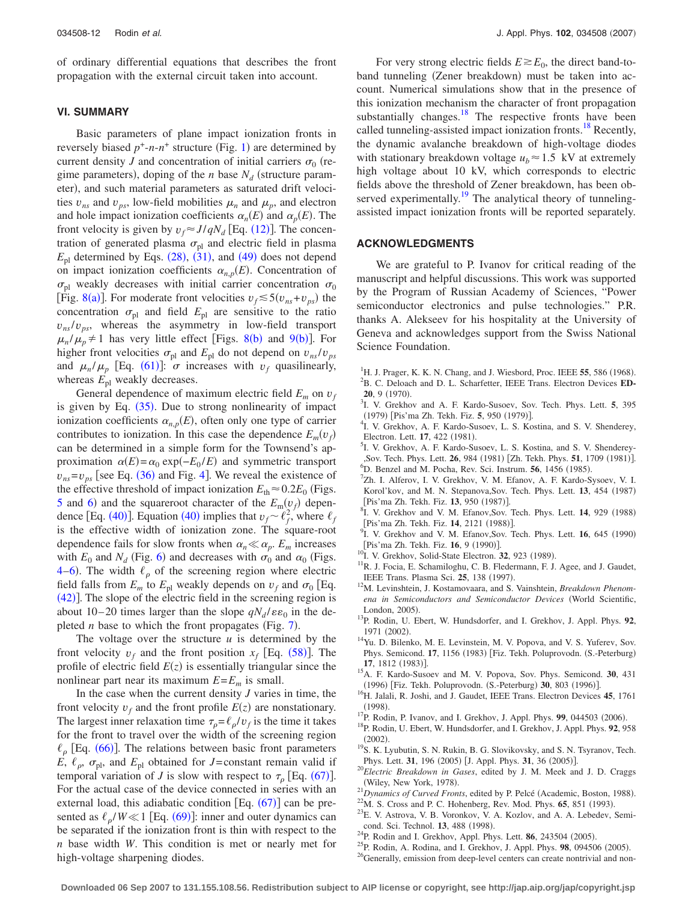of ordinary differential equations that describes the front propagation with the external circuit taken into account.

## **VI. SUMMARY**

Basic parameters of plane impact ionization fronts in reversely biased  $p^+$ -*n*- $n^+$  structure (Fig. [1](#page-0-1)) are determined by current density *J* and concentration of initial carriers  $\sigma_0$  (regime parameters), doping of the *n* base  $N_d$  (structure parameter), and such material parameters as saturated drift velocities  $v_{ns}$  and  $v_{ns}$ , low-field mobilities  $\mu_n$  and  $\mu_n$ , and electron and hole impact ionization coefficients  $\alpha_n(E)$  and  $\alpha_p(E)$ . The front velocity is given by  $v_f \approx J/qN_d$  [Eq. ([12](#page-2-2))]. The concentration of generated plasma  $\sigma_{\text{pl}}$  and electric field in plasma  $E_{\text{pl}}$  determined by Eqs. ([28](#page-4-2)), ([31](#page-4-6)), and ([49](#page-7-6)) does not depend on impact ionization coefficients  $\alpha_{n,p}(E)$ . Concentration of  $\sigma_{\text{pl}}$  weakly decreases with initial carrier concentration  $\sigma_0$ [Fig. [8](#page-8-0)(a)]. For moderate front velocities  $v_f \le 5(v_{ns} + v_{ps})$  the concentration  $\sigma_{\text{pl}}$  and field  $E_{\text{pl}}$  are sensitive to the ratio  $v_{ns}/v_{ps}$ , whereas the asymmetry in low-field transport  $\mu_n / \mu_p \neq 1$  has very little effect [Figs. [8](#page-8-0)(b) and [9](#page-9-1)(b)]. For higher front velocities  $\sigma_{\text{pl}}$  and  $E_{\text{pl}}$  do not depend on  $v_{ns}/v_{ps}$ and  $\mu_n / \mu_p$  [Eq. ([61](#page-9-6))]:  $\sigma$  increases with  $v_f$  quasilinearly, whereas  $E_{\text{pl}}$  weakly decreases.

General dependence of maximum electric field  $E_m$  on  $v_f$ is given by Eq.  $(35)$  $(35)$  $(35)$ . Due to strong nonlinearity of impact ionization coefficients  $\alpha_{n,p}(E)$ , often only one type of carrier contributes to ionization. In this case the dependence  $E_m(v_f)$ can be determined in a simple form for the Townsend's approximation  $\alpha(E) = \alpha_0 \exp(-E_0 / E)$  and symmetric transport  $v_{ns} = v_{ps}$  [see Eq. ([36](#page-5-3)) and Fig. [4](#page-5-4)]. We reveal the existence of the effective threshold of impact ionization  $E_{\text{th}} \approx 0.2E_0$  (Figs. [5](#page-6-0) and [6](#page-6-1)) and the squareroot character of the  $E_m(v_f)$  depen-dence [Eq. ([40](#page-6-3))]. Equation (40) implies that  $v_f \sim \ell_f^2$ , where  $\ell_f$ is the effective width of ionization zone. The square-root dependence fails for slow fronts when  $\alpha_n \ll \alpha_p$ . *E<sub>m</sub>* increases with  $E_0$  and  $N_d$  (Fig. [6](#page-6-1)) and decreases with  $\sigma_0$  and  $\alpha_0$  (Figs. [4](#page-5-4)[–6](#page-6-1)). The width  $\ell_{\rho}$  of the screening region where electric field falls from  $E_m$  to  $E_p$  weakly depends on  $v_f$  and  $\sigma_0$  [Eq.  $(42)$  $(42)$  $(42)$ ]. The slope of the electric field in the screening region is about 10–20 times larger than the slope  $qN_d/\varepsilon\varepsilon_0$  in the depleted  $n$  base to which the front propagates (Fig.  $7$ ).

The voltage over the structure *u* is determined by the front velocity  $v_f$  and the front position  $x_f$  [Eq. ([58](#page-9-2))]. The profile of electric field  $E(z)$  is essentially triangular since the nonlinear part near its maximum  $E=E_m$  is small.

In the case when the current density  $J$  varies in time, the front velocity  $v_f$  and the front profile  $E(z)$  are nonstationary. The largest inner relaxation time  $\tau_o = \ell_o/v_f$  is the time it takes for the front to travel over the width of the screening region  $\ell_p$  [Eq. ([66](#page-10-6))]. The relations between basic front parameters *E*,  $\ell_p$ ,  $\sigma_{pl}$ , and  $E_{pl}$  obtained for *J*=constant remain valid if temporal variation of *J* is slow with respect to  $\tau_{\rho}$  [Eq. ([67](#page-10-2))]. For the actual case of the device connected in series with an external load, this adiabatic condition  $[Eq. (67)]$  $[Eq. (67)]$  $[Eq. (67)]$  can be presented as  $\ell_p/W \ll 1$  [Eq. ([69](#page-10-3))]: inner and outer dynamics can be separated if the ionization front is thin with respect to the *n* base width *W*. This condition is met or nearly met for high-voltage sharpening diodes.

For very strong electric fields  $E \ge E_0$ , the direct band-toband tunneling (Zener breakdown) must be taken into account. Numerical simulations show that in the presence of this ionization mechanism the character of front propagation substantially changes. $18$  The respective fronts have been called tunneling-assisted impact ionization fronts.<sup>18</sup> Recently, the dynamic avalanche breakdown of high-voltage diodes with stationary breakdown voltage  $u_b \approx 1.5 \text{ kV}$  at extremely high voltage about 10 kV, which corresponds to electric fields above the threshold of Zener breakdown, has been observed experimentally.<sup>19</sup> The analytical theory of tunnelingassisted impact ionization fronts will be reported separately.

## **ACKNOWLEDGMENTS**

We are grateful to P. Ivanov for critical reading of the manuscript and helpful discussions. This work was supported by the Program of Russian Academy of Sciences, "Power semiconductor electronics and pulse technologies." P.R. thanks A. Alekseev for his hospitality at the University of Geneva and acknowledges support from the Swiss National Science Foundation.

- <span id="page-11-2"></span><span id="page-11-0"></span><sup>1</sup>H. J. Prager, K. K. N. Chang, and J. Wiesbord, Proc. IEEE **55**, 586 (1968). <sup>2</sup>B. C. Deloach and D. L. Scharfetter, IEEE Trans. Electron Devices **ED-20**, 9 (1970).<br> $^{3}$ <sub>L</sub> V Grakho
- <span id="page-11-3"></span>I. V. Grekhov and A. F. Kardo-Susoev, Sov. Tech. Phys. Lett. **5**, 395 (1979) [Pis'ma Zh. Tekh. Fiz. **5**, 950 (1979)].
- <sup>4</sup>I. V. Grekhov, A. F. Kardo-Susoev, L. S. Kostina, and S. V. Shenderey, Electron. Lett. **17**, 422 (1981).
- <span id="page-11-17"></span><sup>3</sup>I. V. Grekhov, A. F. Kardo-Susoev, L. S. Kostina, and S. V. Shenderey-Sov. Tech. Phys. Lett. **26**, 984 (1981) [Zh. Tekh. Phys. **51**, 1709 (1981)]. <sup>6</sup>D. Benzel and M. Pocha, Rev. Sci. Instrum. **56**, 1456 (1985).<br><sup>7</sup>Zh. J. Alforov. J. V. Grakbov. V. M. Efonov. A. E. Kardo S.
- <span id="page-11-5"></span><span id="page-11-4"></span> $^{7}$ Zh. I. Alferov, I. V. Grekhov, V. M. Efanov, A. F. Kardo-Sysoev, V. I. Korol'kov, and M. N. Stepanova, Sov. Tech. Phys. Lett. 13, 454 (1987) [Pis'ma Zh. Tekh. Fiz. **13**, 950 (1987)].
- I. V. Grekhov and V. M. Efanov, Sov. Tech. Phys. Lett. 14, 929 (1988) [Pis'ma Zh. Tekh. Fiz. **14**, 2121 (1988)].
- <span id="page-11-1"></span>I. V. Grekhov and V. M. Efanov, Sov. Tech. Phys. Lett. **16**, 645 (1990) [Pis'ma Zh. Tekh. Fiz. **16**, 9 (1990)].
- <span id="page-11-6"></span><sup>10</sup>I. V. Grekhov, Solid-State Electron. **32**, 923 (1989).
- <span id="page-11-7"></span><sup>11</sup>R. J. Focia, E. Schamiloghu, C. B. Fledermann, F. J. Agee, and J. Gaudet, IEEE Trans. Plasma Sci. 25, 138 (1997).
- <span id="page-11-8"></span><sup>12</sup>M. Levinshtein, J. Kostamovaara, and S. Vainshtein, *Breakdown Phenomena in Semiconductors and Semiconductor Devices* World Scientific, London, 2005).
- <span id="page-11-9"></span><sup>13</sup>P. Rodin, U. Ebert, W. Hundsdorfer, and I. Grekhov, J. Appl. Phys. 92, 1971 (2002).
- <span id="page-11-10"></span><sup>14</sup>Yu. D. Bilenko, M. E. Levinstein, M. V. Popova, and V. S. Yuferev, Sov. Phys. Semicond. 17, 1156 (1983) [Fiz. Tekh. Poluprovodn. (S.-Peterburg) **17**, 1812 (1983)].
- . 15A. F. Kardo-Susoev and M. V. Popova, Sov. Phys. Semicond. **<sup>30</sup>**, 431 (1996) [Fiz. Tekh. Poluprovodn. (S.-Peterburg) 30, 803 (1996)
- <span id="page-11-11"></span><sup>16</sup>H. Jalali, R. Joshi, and J. Gaudet, IEEE Trans. Electron Devices **45**, 1761  $(1998).$
- <span id="page-11-12"></span><sup>17</sup>P. Rodin, P. Ivanov, and I. Grekhov, J. Appl. Phys. **99**, 044503 (2006).
- <span id="page-11-13"></span><sup>18</sup>P. Rodin, U. Ebert, W. Hundsdorfer, and I. Grekhov, J. Appl. Phys. **92**, 958  $(2002)$ .
- <span id="page-11-14"></span><sup>19</sup>S. K. Lyubutin, S. N. Rukin, B. G. Slovikovsky, and S. N. Tsyranov, Tech. Phys. Lett. 31, 196 (2005) [J. Appl. Phys. 31, 36 (2005)
- <span id="page-11-15"></span>. <sup>20</sup>*Electric Breakdown in Gases*, edited by J. M. Meek and J. D. Craggs (Wiley, New York, 1978).
- . (Wiley, New York, 1978).<br><sup>21</sup>Dynamics of Curved Fronts, edited by P. Pelcé (Academic, Boston, 1988) <sup>21</sup> Dynamics of Curved Fronts, edited by P. Pelcé (Academic, Boston, 1988).<br><sup>22</sup>M. S. Cross and P. C. Hohenberg, Rev. Mod. Phys. **65**, 851 (1993).
- <span id="page-11-16"></span> $^{22}$ M. S. Cross and P. C. Hohenberg, Rev. Mod. Phys. 65, 851 (1993).  $^{23}$ E. V. Astrova, V. B. Voronkov, V. A. Kozlov, and A. A. Lebedev, Semi-
- <span id="page-11-18"></span>cond. Sci. Technol. **13**, 488 (1998).
- <span id="page-11-21"></span><sup>24</sup>P. Rodin and I. Grekhov, Appl. Phys. Lett. **86**, 243504 (2005).
- <span id="page-11-19"></span><sup>25</sup>P. Rodin, A. Rodina, and I. Grekhov, J. Appl. Phys. **98**, 094506 (2005).
- <span id="page-11-20"></span><sup>26</sup>Generally, emission from deep-level centers can create nontrivial and non-